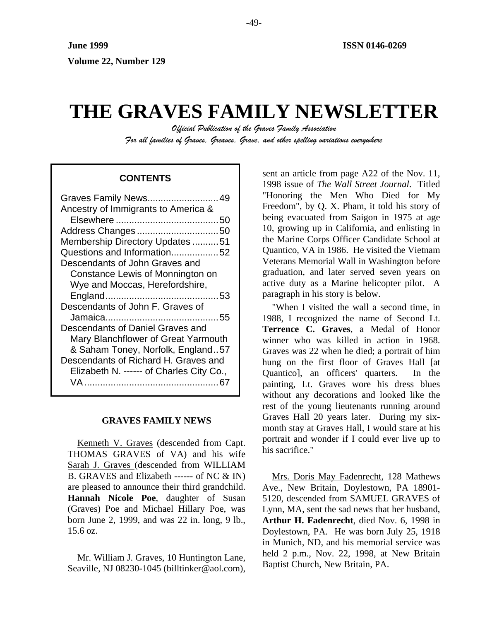# **THE GRAVES FAMILY NEWSLETTER**

*Official Publication of the Graves Family Association For all families of Graves, Greaves, Grave, and other spelling variations everywhere* 

# **CONTENTS**

| Graves Family News 49                    |
|------------------------------------------|
| Ancestry of Immigrants to America &      |
| 50                                       |
| Address Changes50                        |
| Membership Directory Updates 51          |
| Questions and Information52              |
| Descendants of John Graves and           |
| Constance Lewis of Monnington on         |
| Wye and Moccas, Herefordshire,           |
|                                          |
| Descendants of John F. Graves of         |
|                                          |
| Descendants of Daniel Graves and         |
| Mary Blanchflower of Great Yarmouth      |
| & Saham Toney, Norfolk, England57        |
| Descendants of Richard H. Graves and     |
| Elizabeth N. ------ of Charles City Co., |
| VA.                                      |
|                                          |

# **GRAVES FAMILY NEWS**

Kenneth V. Graves (descended from Capt. THOMAS GRAVES of VA) and his wife Sarah J. Graves (descended from WILLIAM B. GRAVES and Elizabeth ------ of NC & IN) are pleased to announce their third grandchild. **Hannah Nicole Poe**, daughter of Susan (Graves) Poe and Michael Hillary Poe, was born June 2, 1999, and was 22 in. long, 9 lb., 15.6 oz.

Mr. William J. Graves, 10 Huntington Lane, Seaville, NJ 08230-1045 (billtinker@aol.com). sent an article from page A22 of the Nov. 11, 1998 issue of *The Wall Street Journal*. Titled "Honoring the Men Who Died for My Freedom", by Q. X. Pham, it told his story of being evacuated from Saigon in 1975 at age 10, growing up in California, and enlisting in the Marine Corps Officer Candidate School at Quantico, VA in 1986. He visited the Vietnam Veterans Memorial Wall in Washington before graduation, and later served seven years on active duty as a Marine helicopter pilot. A paragraph in his story is below.

"When I visited the wall a second time, in 1988, I recognized the name of Second Lt. **Terrence C. Graves**, a Medal of Honor winner who was killed in action in 1968. Graves was 22 when he died; a portrait of him hung on the first floor of Graves Hall [at Quantico], an officers' quarters. In the painting, Lt. Graves wore his dress blues without any decorations and looked like the rest of the young lieutenants running around Graves Hall 20 years later. During my sixmonth stay at Graves Hall, I would stare at his portrait and wonder if I could ever live up to his sacrifice."

Mrs. Doris May Fadenrecht, 128 Mathews Ave., New Britain, Doylestown, PA 18901- 5120, descended from SAMUEL GRAVES of Lynn, MA, sent the sad news that her husband, **Arthur H. Fadenrecht**, died Nov. 6, 1998 in Doylestown, PA. He was born July 25, 1918 in Munich, ND, and his memorial service was held 2 p.m., Nov. 22, 1998, at New Britain Baptist Church, New Britain, PA.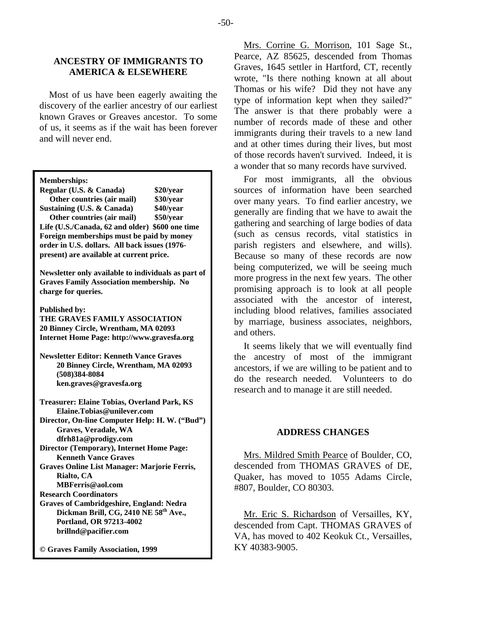# **ANCESTRY OF IMMIGRANTS TO AMERICA & ELSEWHERE**

Most of us have been eagerly awaiting the discovery of the earlier ancestry of our earliest known Graves or Greaves ancestor. To some of us, it seems as if the wait has been forever and will never end.

| <b>Memberships:</b> |  |
|---------------------|--|
|                     |  |

| Regular (U.S. & Canada)                         | \$20/year |  |
|-------------------------------------------------|-----------|--|
| Other countries (air mail)                      | \$30/year |  |
| Sustaining (U.S. & Canada)                      | \$40/year |  |
| Other countries (air mail)                      | \$50/year |  |
| Life (U.S./Canada, 62 and older) \$600 one time |           |  |
| Foreign memberships must be paid by money       |           |  |
| order in U.S. dollars. All back issues (1976-   |           |  |
| present) are available at current price.        |           |  |

**Newsletter only available to individuals as part of Graves Family Association membership. No charge for queries.** 

**Published by:** 

**THE GRAVES FAMILY ASSOCIATION 20 Binney Circle, Wrentham, MA 02093 Internet Home Page: http://www.gravesfa.org** 

**Newsletter Editor: Kenneth Vance Graves 20 Binney Circle, Wrentham, MA 02093 (508)384-8084 ken.graves@gravesfa.org** 

**Treasurer: Elaine Tobias, Overland Park, KS Elaine.Tobias@unilever.com Director, On-line Computer Help: H. W. ("Bud") Graves, Veradale, WA dfrh81a@prodigy.com Director (Temporary), Internet Home Page:** 

 **Kenneth Vance Graves Graves Online List Manager: Marjorie Ferris, Rialto, CA** 

 **MBFerris@aol.com** 

**Research Coordinators** 

**Graves of Cambridgeshire, England: Nedra Dickman Brill, CG, 2410 NE 58th Ave., Portland, OR 97213-4002 brillnd@pacifier.com** 

**© Graves Family Association, 1999**

Mrs. Corrine G. Morrison, 101 Sage St., Pearce, AZ 85625, descended from Thomas Graves, 1645 settler in Hartford, CT, recently wrote, "Is there nothing known at all about Thomas or his wife? Did they not have any type of information kept when they sailed?" The answer is that there probably were a number of records made of these and other immigrants during their travels to a new land and at other times during their lives, but most of those records haven't survived. Indeed, it is a wonder that so many records have survived.

For most immigrants, all the obvious sources of information have been searched over many years. To find earlier ancestry, we generally are finding that we have to await the gathering and searching of large bodies of data (such as census records, vital statistics in parish registers and elsewhere, and wills). Because so many of these records are now being computerized, we will be seeing much more progress in the next few years. The other promising approach is to look at all people associated with the ancestor of interest, including blood relatives, families associated by marriage, business associates, neighbors, and others.

It seems likely that we will eventually find the ancestry of most of the immigrant ancestors, if we are willing to be patient and to do the research needed. Volunteers to do research and to manage it are still needed.

## **ADDRESS CHANGES**

Mrs. Mildred Smith Pearce of Boulder, CO, descended from THOMAS GRAVES of DE, Quaker, has moved to 1055 Adams Circle, #807, Boulder, CO 80303.

Mr. Eric S. Richardson of Versailles, KY, descended from Capt. THOMAS GRAVES of VA, has moved to 402 Keokuk Ct., Versailles, KY 40383-9005.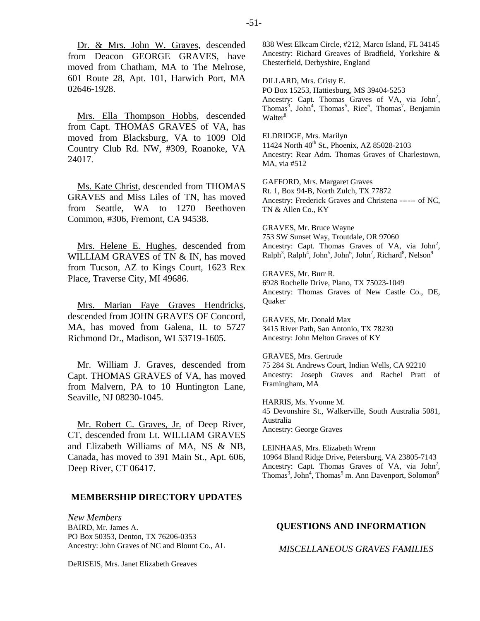Dr. & Mrs. John W. Graves, descended from Deacon GEORGE GRAVES, have moved from Chatham, MA to The Melrose, 601 Route 28, Apt. 101, Harwich Port, MA 02646-1928.

Mrs. Ella Thompson Hobbs, descended from Capt. THOMAS GRAVES of VA, has moved from Blacksburg, VA to 1009 Old Country Club Rd. NW, #309, Roanoke, VA 24017.

Ms. Kate Christ, descended from THOMAS GRAVES and Miss Liles of TN, has moved from Seattle, WA to 1270 Beethoven Common, #306, Fremont, CA 94538.

Mrs. Helene E. Hughes, descended from WILLIAM GRAVES of TN & IN, has moved from Tucson, AZ to Kings Court, 1623 Rex Place, Traverse City, MI 49686.

Mrs. Marian Faye Graves Hendricks, descended from JOHN GRAVES OF Concord, MA, has moved from Galena, IL to 5727 Richmond Dr., Madison, WI 53719-1605.

Mr. William J. Graves, descended from Capt. THOMAS GRAVES of VA, has moved from Malvern, PA to 10 Huntington Lane, Seaville, NJ 08230-1045.

Mr. Robert C. Graves, Jr. of Deep River, CT, descended from Lt. WILLIAM GRAVES and Elizabeth Williams of MA, NS & NB, Canada, has moved to 391 Main St., Apt. 606, Deep River, CT 06417.

## **MEMBERSHIP DIRECTORY UPDATES**

*New Members*  BAIRD, Mr. James A. PO Box 50353, Denton, TX 76206-0353 Ancestry: John Graves of NC and Blount Co., AL

DeRISEIS, Mrs. Janet Elizabeth Greaves

838 West Elkcam Circle, #212, Marco Island, FL 34145 Ancestry: Richard Greaves of Bradfield, Yorkshire & Chesterfield, Derbyshire, England

DILLARD, Mrs. Cristy E. PO Box 15253, Hattiesburg, MS 39404-5253 Ancestry: Capt. Thomas Graves of VA, via John<sup>2</sup>, Thomas<sup>3</sup>, John<sup>4</sup>, Thomas<sup>5</sup>, Rice<sup>6</sup>, Thomas<sup>7</sup>, Benjamin Walter<sup>8</sup>

ELDRIDGE, Mrs. Marilyn 11424 North 40<sup>th</sup> St., Phoenix, AZ 85028-2103 Ancestry: Rear Adm. Thomas Graves of Charlestown, MA, via #512

GAFFORD, Mrs. Margaret Graves Rt. 1, Box 94-B, North Zulch, TX 77872 Ancestry: Frederick Graves and Christena ------ of NC, TN & Allen Co., KY

GRAVES, Mr. Bruce Wayne 753 SW Sunset Way, Troutdale, OR 97060 Ancestry: Capt. Thomas Graves of VA, via  $John<sup>2</sup>$ ,  $\text{Ralph}^3$ ,  $\text{Ralph}^4$ ,  $\text{John}^5$ ,  $\text{John}^6$ ,  $\text{John}^7$ ,  $\text{Richard}^8$ ,  $\text{Nelson}^9$ 

GRAVES, Mr. Burr R. 6928 Rochelle Drive, Plano, TX 75023-1049 Ancestry: Thomas Graves of New Castle Co., DE, Quaker

GRAVES, Mr. Donald Max 3415 River Path, San Antonio, TX 78230 Ancestry: John Melton Graves of KY

GRAVES, Mrs. Gertrude 75 284 St. Andrews Court, Indian Wells, CA 92210 Ancestry: Joseph Graves and Rachel Pratt of Framingham, MA

HARRIS, Ms. Yvonne M. 45 Devonshire St., Walkerville, South Australia 5081, Australia Ancestry: George Graves

LEINHAAS, Mrs. Elizabeth Wrenn 10964 Bland Ridge Drive, Petersburg, VA 23805-7143 Ancestry: Capt. Thomas Graves of VA, via John<sup>2</sup>,  $Thomas<sup>3</sup>$ , John<sup>4</sup>, Thomas<sup>5</sup> m. Ann Davenport, Solomon<sup>6</sup>

## **QUESTIONS AND INFORMATION**

*MISCELLANEOUS GRAVES FAMILIES*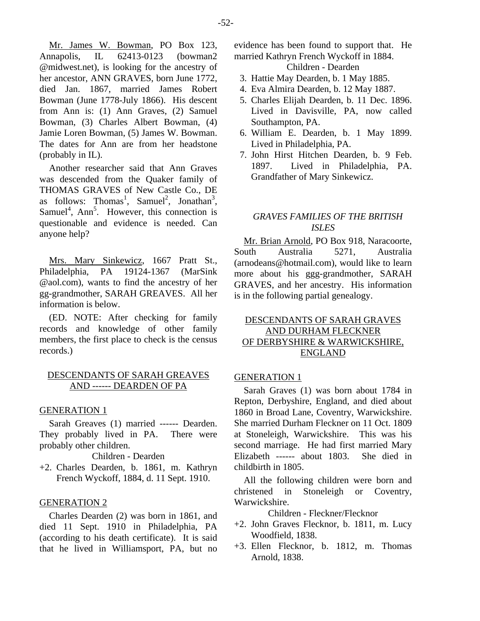Mr. James W. Bowman, PO Box 123, Annapolis, IL 62413-0123 (bowman2 @midwest.net), is looking for the ancestry of her ancestor, ANN GRAVES, born June 1772, died Jan. 1867, married James Robert Bowman (June 1778-July 1866). His descent from Ann is: (1) Ann Graves, (2) Samuel Bowman, (3) Charles Albert Bowman, (4) Jamie Loren Bowman, (5) James W. Bowman. The dates for Ann are from her headstone (probably in IL).

Another researcher said that Ann Graves was descended from the Quaker family of THOMAS GRAVES of New Castle Co., DE as follows: Thomas<sup>1</sup>, Samuel<sup>2</sup>, Jonathan<sup>3</sup>, Samuel<sup>4</sup>, Ann<sup>5</sup>. However, this connection is questionable and evidence is needed. Can anyone help?

Mrs. Mary Sinkewicz, 1667 Pratt St., Philadelphia, PA 19124-1367 (MarSink @aol.com), wants to find the ancestry of her gg-grandmother, SARAH GREAVES. All her information is below.

(ED. NOTE: After checking for family records and knowledge of other family members, the first place to check is the census records.)

# DESCENDANTS OF SARAH GREAVES AND ------ DEARDEN OF PA

## GENERATION 1

Sarah Greaves (1) married ------ Dearden. They probably lived in PA. There were probably other children.

Children - Dearden

+2. Charles Dearden, b. 1861, m. Kathryn French Wyckoff, 1884, d. 11 Sept. 1910.

#### GENERATION 2

Charles Dearden (2) was born in 1861, and died 11 Sept. 1910 in Philadelphia, PA (according to his death certificate). It is said that he lived in Williamsport, PA, but no evidence has been found to support that. He married Kathryn French Wyckoff in 1884.

# Children - Dearden

- 3. Hattie May Dearden, b. 1 May 1885.
- 4. Eva Almira Dearden, b. 12 May 1887.
- 5. Charles Elijah Dearden, b. 11 Dec. 1896. Lived in Davisville, PA, now called Southampton, PA.
- 6. William E. Dearden, b. 1 May 1899. Lived in Philadelphia, PA.
- 7. John Hirst Hitchen Dearden, b. 9 Feb. 1897. Lived in Philadelphia, PA. Grandfather of Mary Sinkewicz.

## *GRAVES FAMILIES OF THE BRITISH ISLES*

Mr. Brian Arnold, PO Box 918, Naracoorte, South Australia 5271, Australia (arnodeans@hotmail.com), would like to learn more about his ggg-grandmother, SARAH GRAVES, and her ancestry. His information is in the following partial genealogy.

# DESCENDANTS OF SARAH GRAVES AND DURHAM FLECKNER OF DERBYSHIRE & WARWICKSHIRE, ENGLAND

## GENERATION 1

Sarah Graves (1) was born about 1784 in Repton, Derbyshire, England, and died about 1860 in Broad Lane, Coventry, Warwickshire. She married Durham Fleckner on 11 Oct. 1809 at Stoneleigh, Warwickshire. This was his second marriage. He had first married Mary Elizabeth ------ about 1803. She died in childbirth in 1805.

All the following children were born and christened in Stoneleigh or Coventry, Warwickshire.

Children - Fleckner/Flecknor

- +2. John Graves Flecknor, b. 1811, m. Lucy Woodfield, 1838.
- +3. Ellen Flecknor, b. 1812, m. Thomas Arnold, 1838.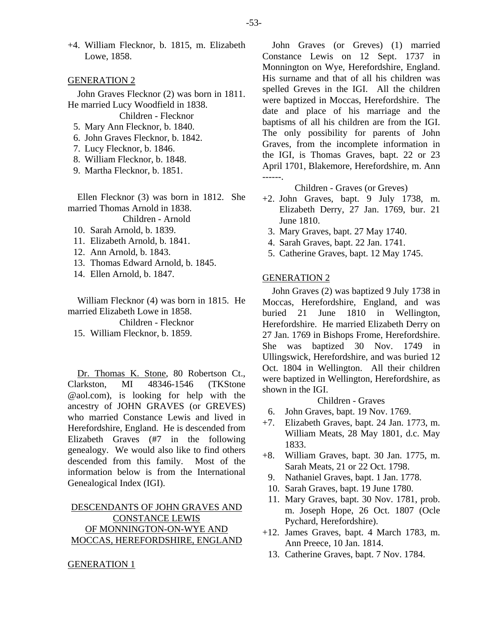+4. William Flecknor, b. 1815, m. Elizabeth Lowe, 1858.

#### GENERATION 2

John Graves Flecknor (2) was born in 1811. He married Lucy Woodfield in 1838.

Children - Flecknor

- 5. Mary Ann Flecknor, b. 1840.
- 6. John Graves Flecknor, b. 1842.
- 7. Lucy Flecknor, b. 1846.
- 8. William Flecknor, b. 1848.
- 9. Martha Flecknor, b. 1851.

Ellen Flecknor (3) was born in 1812. She married Thomas Arnold in 1838.

Children - Arnold

- 10. Sarah Arnold, b. 1839.
- 11. Elizabeth Arnold, b. 1841.
- 12. Ann Arnold, b. 1843.
- 13. Thomas Edward Arnold, b. 1845.
- 14. Ellen Arnold, b. 1847.

William Flecknor (4) was born in 1815. He married Elizabeth Lowe in 1858.

Children - Flecknor

15. William Flecknor, b. 1859.

Dr. Thomas K. Stone, 80 Robertson Ct., Clarkston, MI 48346-1546 (TKStone @aol.com), is looking for help with the ancestry of JOHN GRAVES (or GREVES) who married Constance Lewis and lived in Herefordshire, England. He is descended from Elizabeth Graves (#7 in the following genealogy. We would also like to find others descended from this family. Most of the information below is from the International Genealogical Index (IGI).

# DESCENDANTS OF JOHN GRAVES AND CONSTANCE LEWIS OF MONNINGTON-ON-WYE AND MOCCAS, HEREFORDSHIRE, ENGLAND

John Graves (or Greves) (1) married Constance Lewis on 12 Sept. 1737 in Monnington on Wye, Herefordshire, England. His surname and that of all his children was spelled Greves in the IGI. All the children were baptized in Moccas, Herefordshire. The date and place of his marriage and the baptisms of all his children are from the IGI. The only possibility for parents of John Graves, from the incomplete information in the IGI, is Thomas Graves, bapt. 22 or 23 April 1701, Blakemore, Herefordshire, m. Ann ------.

Children - Graves (or Greves)

- +2. John Graves, bapt. 9 July 1738, m. Elizabeth Derry, 27 Jan. 1769, bur. 21 June 1810.
	- 3. Mary Graves, bapt. 27 May 1740.
- 4. Sarah Graves, bapt. 22 Jan. 1741.
- 5. Catherine Graves, bapt. 12 May 1745.

## GENERATION 2

John Graves (2) was baptized 9 July 1738 in Moccas, Herefordshire, England, and was buried 21 June 1810 in Wellington, Herefordshire. He married Elizabeth Derry on 27 Jan. 1769 in Bishops Frome, Herefordshire. She was baptized 30 Nov. 1749 in Ullingswick, Herefordshire, and was buried 12 Oct. 1804 in Wellington. All their children were baptized in Wellington, Herefordshire, as shown in the IGI.

Children - Graves

- 6. John Graves, bapt. 19 Nov. 1769.
- +7. Elizabeth Graves, bapt. 24 Jan. 1773, m. William Meats, 28 May 1801, d.c. May 1833.
- +8. William Graves, bapt. 30 Jan. 1775, m. Sarah Meats, 21 or 22 Oct. 1798.
	- 9. Nathaniel Graves, bapt. 1 Jan. 1778.
- 10. Sarah Graves, bapt. 19 June 1780.
- 11. Mary Graves, bapt. 30 Nov. 1781, prob. m. Joseph Hope, 26 Oct. 1807 (Ocle Pychard, Herefordshire).
- +12. James Graves, bapt. 4 March 1783, m. Ann Preece, 10 Jan. 1814.
	- 13. Catherine Graves, bapt. 7 Nov. 1784.

GENERATION 1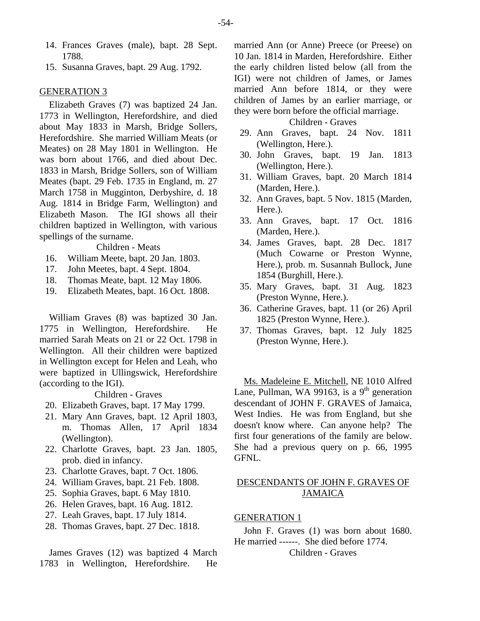- 14. Frances Graves (male), bapt. 28 Sept. 1788.
- 15. Susanna Graves, bapt. 29 Aug. 1792.

## GENERATION 3

Elizabeth Graves (7) was baptized 24 Jan. 1773 in Wellington, Herefordshire, and died about May 1833 in Marsh, Bridge Sollers, Herefordshire. She married William Meats (or Meates) on 28 May 1801 in Wellington. He was born about 1766, and died about Dec. 1833 in Marsh, Bridge Sollers, son of William Meates (bapt. 29 Feb. 1735 in England, m. 27 March 1758 in Mugginton, Derbyshire, d. 18 Aug. 1814 in Bridge Farm, Wellington) and Elizabeth Mason. The IGI shows all their children baptized in Wellington, with various spellings of the surname.

Children - Meats

- 16. William Meete, bapt. 20 Jan. 1803.
- 17. John Meetes, bapt. 4 Sept. 1804.
- 18. Thomas Meate, bapt. 12 May 1806.
- 19. Elizabeth Meates, bapt. 16 Oct. 1808.

William Graves (8) was baptized 30 Jan. 1775 in Wellington, Herefordshire. He married Sarah Meats on 21 or 22 Oct. 1798 in Wellington. All their children were baptized in Wellington except for Helen and Leah, who were baptized in Ullingswick, Herefordshire (according to the IGI).

Children - Graves

- 20. Elizabeth Graves, bapt. 17 May 1799.
- 21. Mary Ann Graves, bapt. 12 April 1803, m. Thomas Allen, 17 April 1834 (Wellington).
- 22. Charlotte Graves, bapt. 23 Jan. 1805, prob. died in infancy.
- 23. Charlotte Graves, bapt. 7 Oct. 1806.
- 24. William Graves, bapt. 21 Feb. 1808.
- 25. Sophia Graves, bapt. 6 May 1810.
- 26. Helen Graves, bapt. 16 Aug. 1812.
- 27. Leah Graves, bapt. 17 July 1814.
- 28. Thomas Graves, bapt. 27 Dec. 1818.

James Graves (12) was baptized 4 March 1783 in Wellington, Herefordshire. He

married Ann (or Anne) Preece (or Preese) on 10 Jan. 1814 in Marden, Herefordshire. Either the early children listed below (all from the IGI) were not children of James, or James married Ann before 1814, or they were children of James by an earlier marriage, or they were born before the official marriage.

## Children - Graves

- 29. Ann Graves, bapt. 24 Nov. 1811 (Wellington, Here.).
- 30. John Graves, bapt. 19 Jan. 1813 (Wellington, Here.).
- 31. William Graves, bapt. 20 March 1814 (Marden, Here.).
- 32. Ann Graves, bapt. 5 Nov. 1815 (Marden, Here.).
- 33. Ann Graves, bapt. 17 Oct. 1816 (Marden, Here.).
- 34. James Graves, bapt. 28 Dec. 1817 (Much Cowarne or Preston Wynne, Here.), prob. m. Susannah Bullock, June 1854 (Burghill, Here.).
- 35. Mary Graves, bapt. 31 Aug. 1823 (Preston Wynne, Here.).
- 36. Catherine Graves, bapt. 11 (or 26) April 1825 (Preston Wynne, Here.).
- 37. Thomas Graves, bapt. 12 July 1825 (Preston Wynne, Here.).

Ms. Madeleine E. Mitchell, NE 1010 Alfred Lane, Pullman, WA 99163, is a 9<sup>th</sup> generation descendant of JOHN F. GRAVES of Jamaica, West Indies. He was from England, but she doesn't know where. Can anyone help? The first four generations of the family are below. She had a previous query on p. 66, 1995 GFNL.

# DESCENDANTS OF JOHN F. GRAVES OF JAMAICA

## GENERATION 1

John F. Graves (1) was born about 1680. He married ------. She died before 1774. Children - Graves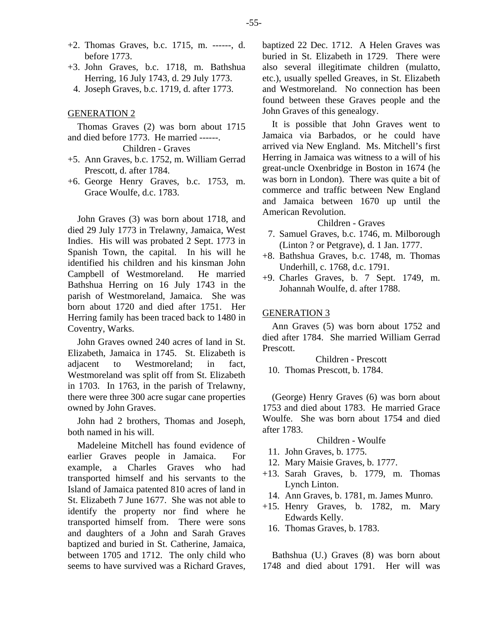- +2. Thomas Graves, b.c. 1715, m. ------, d. before 1773.
- +3. John Graves, b.c. 1718, m. Bathshua Herring, 16 July 1743, d. 29 July 1773.
	- 4. Joseph Graves, b.c. 1719, d. after 1773.

## GENERATION 2

Thomas Graves (2) was born about 1715 and died before 1773. He married ------.

# Children - Graves

- +5. Ann Graves, b.c. 1752, m. William Gerrad Prescott, d. after 1784.
- +6. George Henry Graves, b.c. 1753, m. Grace Woulfe, d.c. 1783.

John Graves (3) was born about 1718, and died 29 July 1773 in Trelawny, Jamaica, West Indies. His will was probated 2 Sept. 1773 in Spanish Town, the capital. In his will he identified his children and his kinsman John Campbell of Westmoreland. He married Bathshua Herring on 16 July 1743 in the parish of Westmoreland, Jamaica. She was born about 1720 and died after 1751. Her Herring family has been traced back to 1480 in Coventry, Warks.

John Graves owned 240 acres of land in St. Elizabeth, Jamaica in 1745. St. Elizabeth is adjacent to Westmoreland; in fact, Westmoreland was split off from St. Elizabeth in 1703. In 1763, in the parish of Trelawny, there were three 300 acre sugar cane properties owned by John Graves.

John had 2 brothers, Thomas and Joseph, both named in his will.

Madeleine Mitchell has found evidence of earlier Graves people in Jamaica. For example, a Charles Graves who had transported himself and his servants to the Island of Jamaica patented 810 acres of land in St. Elizabeth 7 June 1677. She was not able to identify the property nor find where he transported himself from. There were sons and daughters of a John and Sarah Graves baptized and buried in St. Catherine, Jamaica, between 1705 and 1712. The only child who seems to have survived was a Richard Graves, baptized 22 Dec. 1712. A Helen Graves was buried in St. Elizabeth in 1729. There were also several illegitimate children (mulatto, etc.), usually spelled Greaves, in St. Elizabeth and Westmoreland. No connection has been found between these Graves people and the John Graves of this genealogy.

It is possible that John Graves went to Jamaica via Barbados, or he could have arrived via New England. Ms. Mitchell's first Herring in Jamaica was witness to a will of his great-uncle Oxenbridge in Boston in 1674 (he was born in London). There was quite a bit of commerce and traffic between New England and Jamaica between 1670 up until the American Revolution.

## Children - Graves

- 7. Samuel Graves, b.c. 1746, m. Milborough (Linton ? or Petgrave), d. 1 Jan. 1777.
- +8. Bathshua Graves, b.c. 1748, m. Thomas Underhill, c. 1768, d.c. 1791.
- +9. Charles Graves, b. 7 Sept. 1749, m. Johannah Woulfe, d. after 1788.

## GENERATION 3

Ann Graves (5) was born about 1752 and died after 1784. She married William Gerrad Prescott.

Children - Prescott

10. Thomas Prescott, b. 1784.

(George) Henry Graves (6) was born about 1753 and died about 1783. He married Grace Woulfe. She was born about 1754 and died after 1783.

## Children - Woulfe

- 11. John Graves, b. 1775.
- 12. Mary Maisie Graves, b. 1777.
- +13. Sarah Graves, b. 1779, m. Thomas Lynch Linton.
- 14. Ann Graves, b. 1781, m. James Munro.
- +15. Henry Graves, b. 1782, m. Mary Edwards Kelly.
	- 16. Thomas Graves, b. 1783.

Bathshua (U.) Graves (8) was born about 1748 and died about 1791. Her will was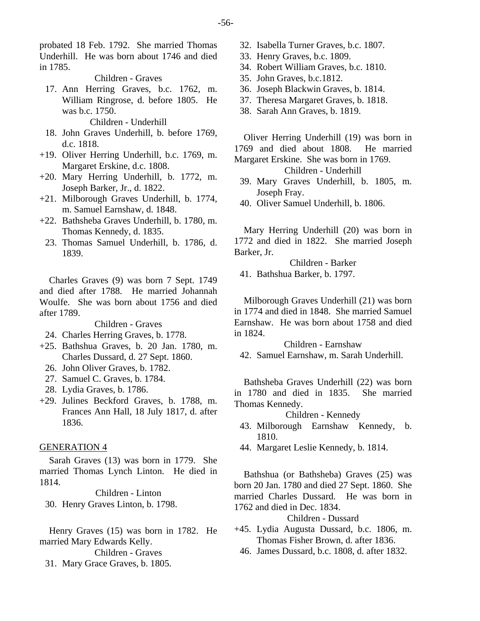probated 18 Feb. 1792. She married Thomas Underhill. He was born about 1746 and died in 1785.

Children - Graves

 17. Ann Herring Graves, b.c. 1762, m. William Ringrose, d. before 1805. He was b.c. 1750.

Children - Underhill

- 18. John Graves Underhill, b. before 1769, d.c. 1818.
- +19. Oliver Herring Underhill, b.c. 1769, m. Margaret Erskine, d.c. 1808.
- +20. Mary Herring Underhill, b. 1772, m. Joseph Barker, Jr., d. 1822.
- +21. Milborough Graves Underhill, b. 1774, m. Samuel Earnshaw, d. 1848.
- +22. Bathsheba Graves Underhill, b. 1780, m. Thomas Kennedy, d. 1835.
	- 23. Thomas Samuel Underhill, b. 1786, d. 1839.

Charles Graves (9) was born 7 Sept. 1749 and died after 1788. He married Johannah Woulfe. She was born about 1756 and died after 1789.

Children - Graves

- 24. Charles Herring Graves, b. 1778.
- +25. Bathshua Graves, b. 20 Jan. 1780, m. Charles Dussard, d. 27 Sept. 1860.
	- 26. John Oliver Graves, b. 1782.
	- 27. Samuel C. Graves, b. 1784.
	- 28. Lydia Graves, b. 1786.
- +29. Julines Beckford Graves, b. 1788, m. Frances Ann Hall, 18 July 1817, d. after 1836.

## GENERATION 4

Sarah Graves (13) was born in 1779. She married Thomas Lynch Linton. He died in 1814.

Children - Linton 30. Henry Graves Linton, b. 1798.

Henry Graves (15) was born in 1782. He married Mary Edwards Kelly.

Children - Graves

31. Mary Grace Graves, b. 1805.

- 32. Isabella Turner Graves, b.c. 1807.
- 33. Henry Graves, b.c. 1809.
- 34. Robert William Graves, b.c. 1810.
- 35. John Graves, b.c.1812.
- 36. Joseph Blackwin Graves, b. 1814.
- 37. Theresa Margaret Graves, b. 1818.
- 38. Sarah Ann Graves, b. 1819.

Oliver Herring Underhill (19) was born in 1769 and died about 1808. He married Margaret Erskine. She was born in 1769.

Children - Underhill

- 39. Mary Graves Underhill, b. 1805, m. Joseph Fray.
- 40. Oliver Samuel Underhill, b. 1806.

Mary Herring Underhill (20) was born in 1772 and died in 1822. She married Joseph Barker, Jr.

Children - Barker

41. Bathshua Barker, b. 1797.

Milborough Graves Underhill (21) was born in 1774 and died in 1848. She married Samuel Earnshaw. He was born about 1758 and died in 1824.

Children - Earnshaw

42. Samuel Earnshaw, m. Sarah Underhill.

Bathsheba Graves Underhill (22) was born in 1780 and died in 1835. She married Thomas Kennedy.

## Children - Kennedy

- 43. Milborough Earnshaw Kennedy, b. 1810.
- 44. Margaret Leslie Kennedy, b. 1814.

Bathshua (or Bathsheba) Graves (25) was born 20 Jan. 1780 and died 27 Sept. 1860. She married Charles Dussard. He was born in 1762 and died in Dec. 1834.

#### Children - Dussard

- +45. Lydia Augusta Dussard, b.c. 1806, m. Thomas Fisher Brown, d. after 1836.
	- 46. James Dussard, b.c. 1808, d. after 1832.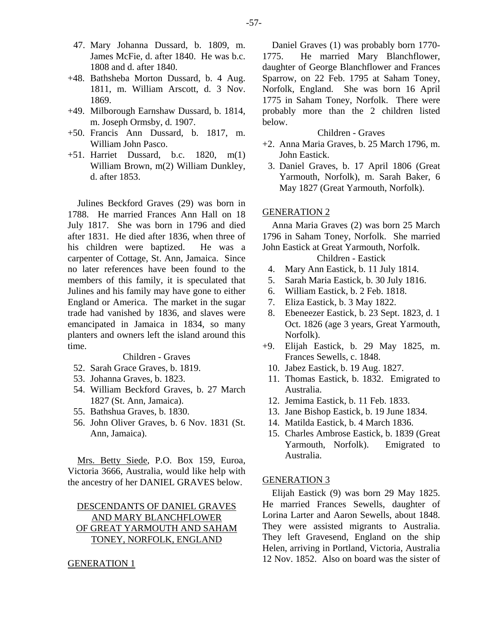- 47. Mary Johanna Dussard, b. 1809, m. James McFie, d. after 1840. He was b.c. 1808 and d. after 1840.
- +48. Bathsheba Morton Dussard, b. 4 Aug. 1811, m. William Arscott, d. 3 Nov. 1869.
- +49. Milborough Earnshaw Dussard, b. 1814, m. Joseph Ormsby, d. 1907.
- +50. Francis Ann Dussard, b. 1817, m. William John Pasco.
- +51. Harriet Dussard, b.c. 1820, m(1) William Brown, m(2) William Dunkley, d. after 1853.

Julines Beckford Graves (29) was born in 1788. He married Frances Ann Hall on 18 July 1817. She was born in 1796 and died after 1831. He died after 1836, when three of his children were baptized. He was a carpenter of Cottage, St. Ann, Jamaica. Since no later references have been found to the members of this family, it is speculated that Julines and his family may have gone to either England or America. The market in the sugar trade had vanished by 1836, and slaves were emancipated in Jamaica in 1834, so many planters and owners left the island around this time.

## Children - Graves

- 52. Sarah Grace Graves, b. 1819.
- 53. Johanna Graves, b. 1823.
- 54. William Beckford Graves, b. 27 March 1827 (St. Ann, Jamaica).
- 55. Bathshua Graves, b. 1830.
- 56. John Oliver Graves, b. 6 Nov. 1831 (St. Ann, Jamaica).

Mrs. Betty Siede, P.O. Box 159, Euroa, Victoria 3666, Australia, would like help with the ancestry of her DANIEL GRAVES below.

# DESCENDANTS OF DANIEL GRAVES AND MARY BLANCHFLOWER OF GREAT YARMOUTH AND SAHAM TONEY, NORFOLK, ENGLAND

#### GENERATION 1

Daniel Graves (1) was probably born 1770- 1775. He married Mary Blanchflower, daughter of George Blanchflower and Frances Sparrow, on 22 Feb. 1795 at Saham Toney, Norfolk, England. She was born 16 April 1775 in Saham Toney, Norfolk. There were probably more than the 2 children listed below.

## Children - Graves

- +2. Anna Maria Graves, b. 25 March 1796, m. John Eastick.
- 3. Daniel Graves, b. 17 April 1806 (Great Yarmouth, Norfolk), m. Sarah Baker, 6 May 1827 (Great Yarmouth, Norfolk).

# GENERATION 2

Anna Maria Graves (2) was born 25 March 1796 in Saham Toney, Norfolk. She married John Eastick at Great Yarmouth, Norfolk.

# Children - Eastick

- 4. Mary Ann Eastick, b. 11 July 1814.
- 5. Sarah Maria Eastick, b. 30 July 1816.
- 6. William Eastick, b. 2 Feb. 1818.
- 7. Eliza Eastick, b. 3 May 1822.
- 8. Ebeneezer Eastick, b. 23 Sept. 1823, d. 1 Oct. 1826 (age 3 years, Great Yarmouth, Norfolk).
- +9. Elijah Eastick, b. 29 May 1825, m. Frances Sewells, c. 1848.
- 10. Jabez Eastick, b. 19 Aug. 1827.
- 11. Thomas Eastick, b. 1832. Emigrated to Australia.
- 12. Jemima Eastick, b. 11 Feb. 1833.
- 13. Jane Bishop Eastick, b. 19 June 1834.
- 14. Matilda Eastick, b. 4 March 1836.
- 15. Charles Ambrose Eastick, b. 1839 (Great Yarmouth, Norfolk). Emigrated to Australia.

# GENERATION 3

Elijah Eastick (9) was born 29 May 1825. He married Frances Sewells, daughter of Lorina Larter and Aaron Sewells, about 1848. They were assisted migrants to Australia. They left Gravesend, England on the ship Helen, arriving in Portland, Victoria, Australia 12 Nov. 1852. Also on board was the sister of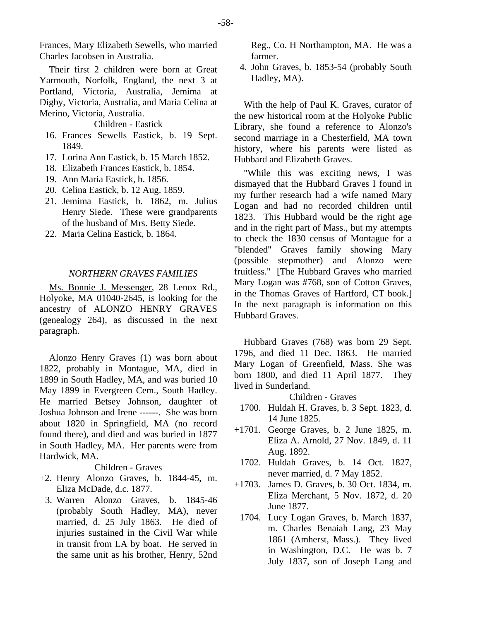Frances, Mary Elizabeth Sewells, who married Charles Jacobsen in Australia.

Their first 2 children were born at Great Yarmouth, Norfolk, England, the next 3 at Portland, Victoria, Australia, Jemima at Digby, Victoria, Australia, and Maria Celina at Merino, Victoria, Australia.

Children - Eastick

- 16. Frances Sewells Eastick, b. 19 Sept. 1849.
- 17. Lorina Ann Eastick, b. 15 March 1852.
- 18. Elizabeth Frances Eastick, b. 1854.
- 19. Ann Maria Eastick, b. 1856.
- 20. Celina Eastick, b. 12 Aug. 1859.
- 21. Jemima Eastick, b. 1862, m. Julius Henry Siede. These were grandparents of the husband of Mrs. Betty Siede.
- 22. Maria Celina Eastick, b. 1864.

## *NORTHERN GRAVES FAMILIES*

Ms. Bonnie J. Messenger, 28 Lenox Rd., Holyoke, MA 01040-2645, is looking for the ancestry of ALONZO HENRY GRAVES (genealogy 264), as discussed in the next paragraph.

Alonzo Henry Graves (1) was born about 1822, probably in Montague, MA, died in 1899 in South Hadley, MA, and was buried 10 May 1899 in Evergreen Cem., South Hadley. He married Betsey Johnson, daughter of Joshua Johnson and Irene ------. She was born about 1820 in Springfield, MA (no record found there), and died and was buried in 1877 in South Hadley, MA. Her parents were from Hardwick, MA.

Children - Graves

- +2. Henry Alonzo Graves, b. 1844-45, m. Eliza McDade, d.c. 1877.
	- 3. Warren Alonzo Graves, b. 1845-46 (probably South Hadley, MA), never married, d. 25 July 1863. He died of injuries sustained in the Civil War while in transit from LA by boat. He served in the same unit as his brother, Henry, 52nd

Reg., Co. H Northampton, MA. He was a farmer.

 4. John Graves, b. 1853-54 (probably South Hadley, MA).

With the help of Paul K. Graves, curator of the new historical room at the Holyoke Public Library, she found a reference to Alonzo's second marriage in a Chesterfield, MA town history, where his parents were listed as Hubbard and Elizabeth Graves.

"While this was exciting news, I was dismayed that the Hubbard Graves I found in my further research had a wife named Mary Logan and had no recorded children until 1823. This Hubbard would be the right age and in the right part of Mass., but my attempts to check the 1830 census of Montague for a "blended" Graves family showing Mary (possible stepmother) and Alonzo were fruitless." [The Hubbard Graves who married Mary Logan was #768, son of Cotton Graves, in the Thomas Graves of Hartford, CT book.] In the next paragraph is information on this Hubbard Graves.

Hubbard Graves (768) was born 29 Sept. 1796, and died 11 Dec. 1863. He married Mary Logan of Greenfield, Mass. She was born 1800, and died 11 April 1877. They lived in Sunderland.

Children - Graves

- 1700. Huldah H. Graves, b. 3 Sept. 1823, d. 14 June 1825.
- +1701. George Graves, b. 2 June 1825, m. Eliza A. Arnold, 27 Nov. 1849, d. 11 Aug. 1892.
	- 1702. Huldah Graves, b. 14 Oct. 1827, never married, d. 7 May 1852.
- +1703. James D. Graves, b. 30 Oct. 1834, m. Eliza Merchant, 5 Nov. 1872, d. 20 June 1877.
	- 1704. Lucy Logan Graves, b. March 1837, m. Charles Benaiah Lang, 23 May 1861 (Amherst, Mass.). They lived in Washington, D.C. He was b. 7 July 1837, son of Joseph Lang and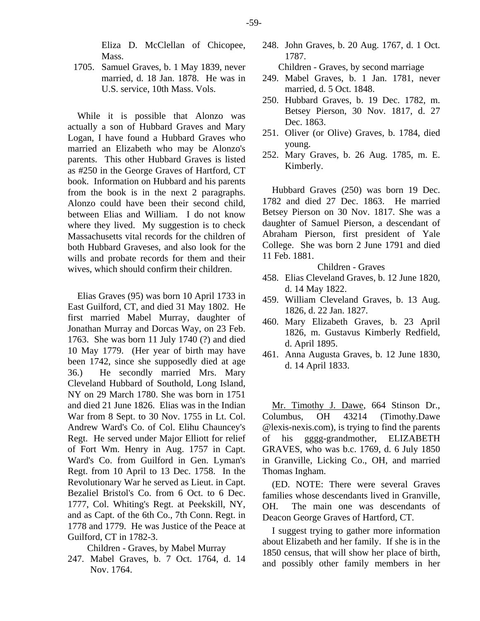Eliza D. McClellan of Chicopee, Mass.

 1705. Samuel Graves, b. 1 May 1839, never married, d. 18 Jan. 1878. He was in U.S. service, 10th Mass. Vols.

While it is possible that Alonzo was actually a son of Hubbard Graves and Mary Logan, I have found a Hubbard Graves who married an Elizabeth who may be Alonzo's parents. This other Hubbard Graves is listed as #250 in the George Graves of Hartford, CT book. Information on Hubbard and his parents from the book is in the next 2 paragraphs. Alonzo could have been their second child, between Elias and William. I do not know where they lived. My suggestion is to check Massachusetts vital records for the children of both Hubbard Graveses, and also look for the wills and probate records for them and their wives, which should confirm their children.

Elias Graves (95) was born 10 April 1733 in East Guilford, CT, and died 31 May 1802. He first married Mabel Murray, daughter of Jonathan Murray and Dorcas Way, on 23 Feb. 1763. She was born 11 July 1740 (?) and died 10 May 1779. (Her year of birth may have been 1742, since she supposedly died at age 36.) He secondly married Mrs. Mary Cleveland Hubbard of Southold, Long Island, NY on 29 March 1780. She was born in 1751 and died 21 June 1826. Elias was in the Indian War from 8 Sept. to 30 Nov. 1755 in Lt. Col. Andrew Ward's Co. of Col. Elihu Chauncey's Regt. He served under Major Elliott for relief of Fort Wm. Henry in Aug. 1757 in Capt. Ward's Co. from Guilford in Gen. Lyman's Regt. from 10 April to 13 Dec. 1758. In the Revolutionary War he served as Lieut. in Capt. Bezaliel Bristol's Co. from 6 Oct. to 6 Dec. 1777, Col. Whiting's Regt. at Peekskill, NY, and as Capt. of the 6th Co., 7th Conn. Regt. in 1778 and 1779. He was Justice of the Peace at Guilford, CT in 1782-3.

Children - Graves, by Mabel Murray

247. Mabel Graves, b. 7 Oct. 1764, d. 14 Nov. 1764.

248. John Graves, b. 20 Aug. 1767, d. 1 Oct. 1787.

Children - Graves, by second marriage

- 249. Mabel Graves, b. 1 Jan. 1781, never married, d. 5 Oct. 1848.
- 250. Hubbard Graves, b. 19 Dec. 1782, m. Betsey Pierson, 30 Nov. 1817, d. 27 Dec. 1863.
- 251. Oliver (or Olive) Graves, b. 1784, died young.
- 252. Mary Graves, b. 26 Aug. 1785, m. E. Kimberly.

Hubbard Graves (250) was born 19 Dec. 1782 and died 27 Dec. 1863. He married Betsey Pierson on 30 Nov. 1817. She was a daughter of Samuel Pierson, a descendant of Abraham Pierson, first president of Yale College. She was born 2 June 1791 and died 11 Feb. 1881.

Children - Graves

- 458. Elias Cleveland Graves, b. 12 June 1820, d. 14 May 1822.
- 459. William Cleveland Graves, b. 13 Aug. 1826, d. 22 Jan. 1827.
- 460. Mary Elizabeth Graves, b. 23 April 1826, m. Gustavus Kimberly Redfield, d. April 1895.
- 461. Anna Augusta Graves, b. 12 June 1830, d. 14 April 1833.

Mr. Timothy J. Dawe, 664 Stinson Dr., Columbus, OH 43214 (Timothy.Dawe @lexis-nexis.com), is trying to find the parents of his gggg-grandmother, ELIZABETH GRAVES, who was b.c. 1769, d. 6 July 1850 in Granville, Licking Co., OH, and married Thomas Ingham.

(ED. NOTE: There were several Graves families whose descendants lived in Granville, OH. The main one was descendants of Deacon George Graves of Hartford, CT.

I suggest trying to gather more information about Elizabeth and her family. If she is in the 1850 census, that will show her place of birth, and possibly other family members in her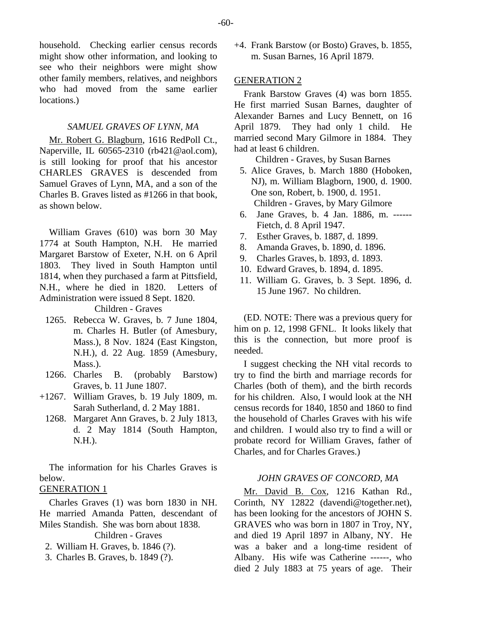household. Checking earlier census records might show other information, and looking to see who their neighbors were might show other family members, relatives, and neighbors who had moved from the same earlier locations.)

# *SAMUEL GRAVES OF LYNN, MA*

Mr. Robert G. Blagburn, 1616 RedPoll Ct., Naperville, IL 60565-2310 (rb421@aol.com), is still looking for proof that his ancestor CHARLES GRAVES is descended from Samuel Graves of Lynn, MA, and a son of the Charles B. Graves listed as #1266 in that book, as shown below.

William Graves (610) was born 30 May 1774 at South Hampton, N.H. He married Margaret Barstow of Exeter, N.H. on 6 April 1803. They lived in South Hampton until 1814, when they purchased a farm at Pittsfield, N.H., where he died in 1820. Letters of Administration were issued 8 Sept. 1820.

Children - Graves

- 1265. Rebecca W. Graves, b. 7 June 1804, m. Charles H. Butler (of Amesbury, Mass.), 8 Nov. 1824 (East Kingston, N.H.), d. 22 Aug. 1859 (Amesbury, Mass.).
- 1266. Charles B. (probably Barstow) Graves, b. 11 June 1807.
- +1267. William Graves, b. 19 July 1809, m. Sarah Sutherland, d. 2 May 1881.
	- 1268. Margaret Ann Graves, b. 2 July 1813, d. 2 May 1814 (South Hampton, N.H.).

The information for his Charles Graves is below.

# GENERATION 1

Charles Graves (1) was born 1830 in NH. He married Amanda Patten, descendant of Miles Standish. She was born about 1838.

Children - Graves

- 2. William H. Graves, b. 1846 (?).
- 3. Charles B. Graves, b. 1849 (?).

+4. Frank Barstow (or Bosto) Graves, b. 1855, m. Susan Barnes, 16 April 1879.

## GENERATION 2

Frank Barstow Graves (4) was born 1855. He first married Susan Barnes, daughter of Alexander Barnes and Lucy Bennett, on 16 April 1879. They had only 1 child. He married second Mary Gilmore in 1884. They had at least 6 children.

Children - Graves, by Susan Barnes

- 5. Alice Graves, b. March 1880 (Hoboken, NJ), m. William Blagborn, 1900, d. 1900. One son, Robert, b. 1900, d. 1951. Children - Graves, by Mary Gilmore
- 6. Jane Graves, b. 4 Jan. 1886, m. ------ Fietch, d. 8 April 1947.
- 7. Esther Graves, b. 1887, d. 1899.
- 8. Amanda Graves, b. 1890, d. 1896.
- 9. Charles Graves, b. 1893, d. 1893.
- 10. Edward Graves, b. 1894, d. 1895.
- 11. William G. Graves, b. 3 Sept. 1896, d. 15 June 1967. No children.

(ED. NOTE: There was a previous query for him on p. 12, 1998 GFNL. It looks likely that this is the connection, but more proof is needed.

I suggest checking the NH vital records to try to find the birth and marriage records for Charles (both of them), and the birth records for his children. Also, I would look at the NH census records for 1840, 1850 and 1860 to find the household of Charles Graves with his wife and children. I would also try to find a will or probate record for William Graves, father of Charles, and for Charles Graves.)

# *JOHN GRAVES OF CONCORD, MA*

Mr. David B. Cox, 1216 Kathan Rd., Corinth, NY 12822 (davendi@together.net), has been looking for the ancestors of JOHN S. GRAVES who was born in 1807 in Troy, NY, and died 19 April 1897 in Albany, NY. He was a baker and a long-time resident of Albany. His wife was Catherine ------, who died 2 July 1883 at 75 years of age. Their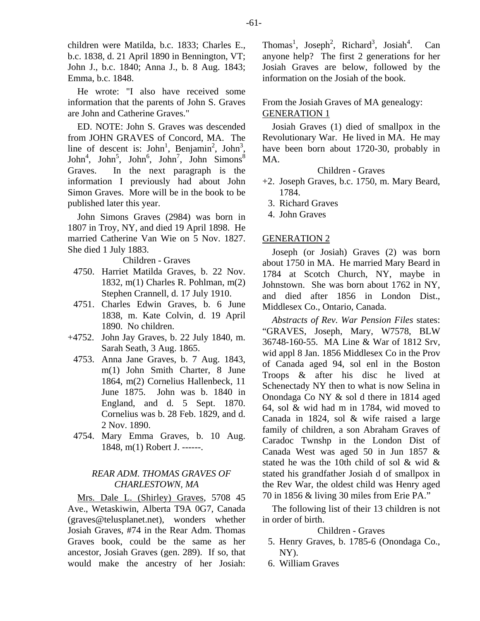children were Matilda, b.c. 1833; Charles E., b.c. 1838, d. 21 April 1890 in Bennington, VT; John J., b.c. 1840; Anna J., b. 8 Aug. 1843; Emma, b.c. 1848.

He wrote: "I also have received some information that the parents of John S. Graves are John and Catherine Graves."

ED. NOTE: John S. Graves was descended from JOHN GRAVES of Concord, MA. The line of descent is:  $John<sup>1</sup>$ , Benjamin<sup>2</sup>, John<sup>3</sup>,  $John<sup>4</sup>$ , John<sup>5</sup>, John<sup>7</sup>, John Simons<sup>8</sup> Graves. In the next paragraph is the information I previously had about John Simon Graves. More will be in the book to be published later this year.

John Simons Graves (2984) was born in 1807 in Troy, NY, and died 19 April 1898. He married Catherine Van Wie on 5 Nov. 1827. She died 1 July 1883.

## Children - Graves

- 4750. Harriet Matilda Graves, b. 22 Nov. 1832, m(1) Charles R. Pohlman, m(2) Stephen Crannell, d. 17 July 1910.
- 4751. Charles Edwin Graves, b. 6 June 1838, m. Kate Colvin, d. 19 April 1890. No children.
- +4752. John Jay Graves, b. 22 July 1840, m. Sarah Seath, 3 Aug. 1865.
- 4753. Anna Jane Graves, b. 7 Aug. 1843, m(1) John Smith Charter, 8 June 1864, m(2) Cornelius Hallenbeck, 11 June 1875. John was b. 1840 in England, and d. 5 Sept. 1870. Cornelius was b. 28 Feb. 1829, and d. 2 Nov. 1890.
- 4754. Mary Emma Graves, b. 10 Aug. 1848, m(1) Robert J. ------.

# *REAR ADM. THOMAS GRAVES OF CHARLESTOWN, MA*

Mrs. Dale L. (Shirley) Graves, 5708 45 Ave., Wetaskiwin, Alberta T9A 0G7, Canada (graves@telusplanet.net), wonders whether Josiah Graves, #74 in the Rear Adm. Thomas Graves book, could be the same as her ancestor, Josiah Graves (gen. 289). If so, that would make the ancestry of her Josiah:

Thomas<sup>1</sup>, Joseph<sup>2</sup>, Richard<sup>3</sup>, Josiah<sup>4</sup> Can anyone help? The first 2 generations for her Josiah Graves are below, followed by the information on the Josiah of the book.

From the Josiah Graves of MA genealogy: GENERATION 1

Josiah Graves (1) died of smallpox in the Revolutionary War. He lived in MA. He may have been born about 1720-30, probably in MA.

Children - Graves

- +2. Joseph Graves, b.c. 1750, m. Mary Beard, 1784.
	- 3. Richard Graves
	- 4. John Graves

#### GENERATION 2

Joseph (or Josiah) Graves (2) was born about 1750 in MA. He married Mary Beard in 1784 at Scotch Church, NY, maybe in Johnstown. She was born about 1762 in NY, and died after 1856 in London Dist., Middlesex Co., Ontario, Canada.

*Abstracts of Rev. War Pension Files* states: "GRAVES, Joseph, Mary, W7578, BLW 36748-160-55. MA Line & War of 1812 Srv, wid appl 8 Jan. 1856 Middlesex Co in the Prov of Canada aged 94, sol enl in the Boston Troops & after his disc he lived at Schenectady NY then to what is now Selina in Onondaga Co NY & sol d there in 1814 aged 64, sol & wid had m in 1784, wid moved to Canada in 1824, sol & wife raised a large family of children, a son Abraham Graves of Caradoc Twnshp in the London Dist of Canada West was aged 50 in Jun 1857 & stated he was the 10th child of sol & wid & stated his grandfather Josiah d of smallpox in the Rev War, the oldest child was Henry aged 70 in 1856 & living 30 miles from Erie PA."

The following list of their 13 children is not in order of birth.

Children - Graves

- 5. Henry Graves, b. 1785-6 (Onondaga Co., NY).
- 6. William Graves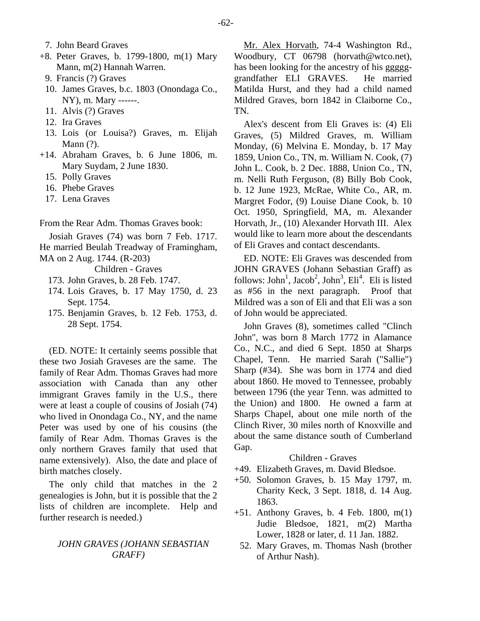- 7. John Beard Graves
- +8. Peter Graves, b. 1799-1800, m(1) Mary Mann, m(2) Hannah Warren.
	- 9. Francis (?) Graves
	- 10. James Graves, b.c. 1803 (Onondaga Co., NY), m. Mary ------.
	- 11. Alvis (?) Graves
	- 12. Ira Graves
	- 13. Lois (or Louisa?) Graves, m. Elijah Mann (?).
- +14. Abraham Graves, b. 6 June 1806, m. Mary Suydam, 2 June 1830.
	- 15. Polly Graves
	- 16. Phebe Graves
	- 17. Lena Graves

From the Rear Adm. Thomas Graves book:

Josiah Graves (74) was born 7 Feb. 1717. He married Beulah Treadway of Framingham, MA on 2 Aug. 1744. (R-203)

Children - Graves

- 173. John Graves, b. 28 Feb. 1747.
- 174. Lois Graves, b. 17 May 1750, d. 23 Sept. 1754.
- 175. Benjamin Graves, b. 12 Feb. 1753, d. 28 Sept. 1754.

(ED. NOTE: It certainly seems possible that these two Josiah Graveses are the same. The family of Rear Adm. Thomas Graves had more association with Canada than any other immigrant Graves family in the U.S., there were at least a couple of cousins of Josiah (74) who lived in Onondaga Co., NY, and the name Peter was used by one of his cousins (the family of Rear Adm. Thomas Graves is the only northern Graves family that used that name extensively). Also, the date and place of birth matches closely.

The only child that matches in the 2 genealogies is John, but it is possible that the 2 lists of children are incomplete. Help and further research is needed.)

# *JOHN GRAVES (JOHANN SEBASTIAN GRAFF)*

Mr. Alex Horvath, 74-4 Washington Rd., Woodbury, CT 06798 (horvath@wtco.net), has been looking for the ancestry of his ggggggrandfather ELI GRAVES. He married Matilda Hurst, and they had a child named Mildred Graves, born 1842 in Claiborne Co., TN.

Alex's descent from Eli Graves is: (4) Eli Graves, (5) Mildred Graves, m. William Monday, (6) Melvina E. Monday, b. 17 May 1859, Union Co., TN, m. William N. Cook, (7) John L. Cook, b. 2 Dec. 1888, Union Co., TN, m. Nelli Ruth Ferguson, (8) Billy Bob Cook, b. 12 June 1923, McRae, White Co., AR, m. Margret Fodor, (9) Louise Diane Cook, b. 10 Oct. 1950, Springfield, MA, m. Alexander Horvath, Jr., (10) Alexander Horvath III. Alex would like to learn more about the descendants of Eli Graves and contact descendants.

ED. NOTE: Eli Graves was descended from JOHN GRAVES (Johann Sebastian Graff) as follows: John<sup>1</sup>, Jacob<sup>2</sup>, John<sup>3</sup>, Eli<sup>4</sup>. Eli is listed as #56 in the next paragraph. Proof that Mildred was a son of Eli and that Eli was a son of John would be appreciated.

John Graves (8), sometimes called "Clinch John", was born 8 March 1772 in Alamance Co., N.C., and died 6 Sept. 1850 at Sharps Chapel, Tenn. He married Sarah ("Sallie") Sharp (#34). She was born in 1774 and died about 1860. He moved to Tennessee, probably between 1796 (the year Tenn. was admitted to the Union) and 1800. He owned a farm at Sharps Chapel, about one mile north of the Clinch River, 30 miles north of Knoxville and about the same distance south of Cumberland Gap.

## Children - Graves

- +49. Elizabeth Graves, m. David Bledsoe.
- +50. Solomon Graves, b. 15 May 1797, m. Charity Keck, 3 Sept. 1818, d. 14 Aug. 1863.
- +51. Anthony Graves, b. 4 Feb. 1800, m(1) Judie Bledsoe, 1821, m(2) Martha Lower, 1828 or later, d. 11 Jan. 1882.
- 52. Mary Graves, m. Thomas Nash (brother of Arthur Nash).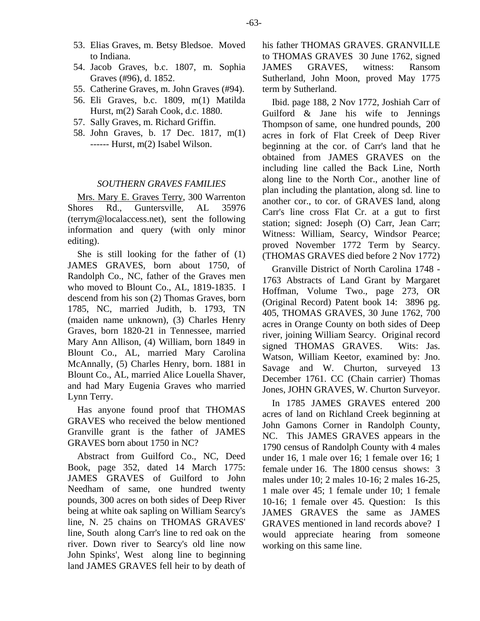- 53. Elias Graves, m. Betsy Bledsoe. Moved to Indiana.
- 54. Jacob Graves, b.c. 1807, m. Sophia Graves (#96), d. 1852.
- 55. Catherine Graves, m. John Graves (#94).
- 56. Eli Graves, b.c. 1809, m(1) Matilda Hurst, m(2) Sarah Cook, d.c. 1880.
- 57. Sally Graves, m. Richard Griffin.
- 58. John Graves, b. 17 Dec. 1817, m(1) ------ Hurst, m(2) Isabel Wilson.

#### *SOUTHERN GRAVES FAMILIES*

Mrs. Mary E. Graves Terry, 300 Warrenton Shores Rd., Guntersville, AL 35976 (terrym@localaccess.net), sent the following information and query (with only minor editing).

She is still looking for the father of (1) JAMES GRAVES, born about 1750, of Randolph Co., NC, father of the Graves men who moved to Blount Co., AL, 1819-1835. I descend from his son (2) Thomas Graves, born 1785, NC, married Judith, b. 1793, TN (maiden name unknown), (3) Charles Henry Graves, born 1820-21 in Tennessee, married Mary Ann Allison, (4) William, born 1849 in Blount Co., AL, married Mary Carolina McAnnally, (5) Charles Henry, born. 1881 in Blount Co., AL, married Alice Louella Shaver, and had Mary Eugenia Graves who married Lynn Terry.

Has anyone found proof that THOMAS GRAVES who received the below mentioned Granville grant is the father of JAMES GRAVES born about 1750 in NC?

Abstract from Guilford Co., NC, Deed Book, page 352, dated 14 March 1775: JAMES GRAVES of Guilford to John Needham of same, one hundred twenty pounds, 300 acres on both sides of Deep River being at white oak sapling on William Searcy's line, N. 25 chains on THOMAS GRAVES' line, South along Carr's line to red oak on the river. Down river to Searcy's old line now John Spinks', West along line to beginning land JAMES GRAVES fell heir to by death of his father THOMAS GRAVES. GRANVILLE to THOMAS GRAVES 30 June 1762, signed JAMES GRAVES, witness: Ransom Sutherland, John Moon, proved May 1775 term by Sutherland.

Ibid. page 188, 2 Nov 1772, Joshiah Carr of Guilford & Jane his wife to Jennings Thompson of same, one hundred pounds, 200 acres in fork of Flat Creek of Deep River beginning at the cor. of Carr's land that he obtained from JAMES GRAVES on the including line called the Back Line, North along line to the North Cor., another line of plan including the plantation, along sd. line to another cor., to cor. of GRAVES land, along Carr's line cross Flat Cr. at a gut to first station; signed: Joseph (O) Carr, Jean Carr; Witness: William, Searcy, Windsor Pearce; proved November 1772 Term by Searcy. (THOMAS GRAVES died before 2 Nov 1772)

Granville District of North Carolina 1748 - 1763 Abstracts of Land Grant by Margaret Hoffman, Volume Two., page 273, OR (Original Record) Patent book 14: 3896 pg. 405, THOMAS GRAVES, 30 June 1762, 700 acres in Orange County on both sides of Deep river, joining William Searcy. Original record signed THOMAS GRAVES. Wits: Jas. Watson, William Keetor, examined by: Jno. Savage and W. Churton, surveyed 13 December 1761. CC (Chain carrier) Thomas Jones, JOHN GRAVES, W. Churton Surveyor.

In 1785 JAMES GRAVES entered 200 acres of land on Richland Creek beginning at John Gamons Corner in Randolph County, NC. This JAMES GRAVES appears in the 1790 census of Randolph County with 4 males under 16, 1 male over 16; 1 female over 16; 1 female under 16. The 1800 census shows: 3 males under 10; 2 males 10-16; 2 males 16-25, 1 male over 45; 1 female under 10; 1 female 10-16; 1 female over 45. Question: Is this JAMES GRAVES the same as JAMES GRAVES mentioned in land records above? I would appreciate hearing from someone working on this same line.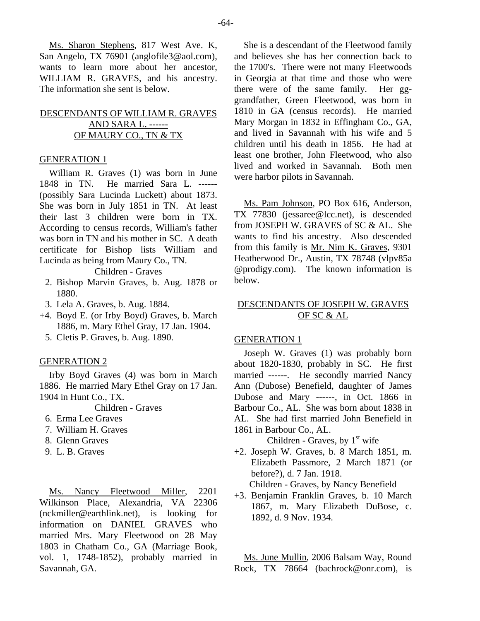-64-

Ms. Sharon Stephens, 817 West Ave. K, San Angelo, TX 76901 (anglofile3@aol.com), wants to learn more about her ancestor, WILLIAM R. GRAVES, and his ancestry. The information she sent is below.

# DESCENDANTS OF WILLIAM R. GRAVES AND SARA L. ------ OF MAURY CO., TN & TX

## GENERATION 1

William R. Graves (1) was born in June 1848 in TN. He married Sara L. ------ (possibly Sara Lucinda Luckett) about 1873. She was born in July 1851 in TN. At least their last 3 children were born in TX. According to census records, William's father was born in TN and his mother in SC. A death certificate for Bishop lists William and Lucinda as being from Maury Co., TN.

Children - Graves

- 2. Bishop Marvin Graves, b. Aug. 1878 or 1880.
- 3. Lela A. Graves, b. Aug. 1884.
- +4. Boyd E. (or Irby Boyd) Graves, b. March 1886, m. Mary Ethel Gray, 17 Jan. 1904.
	- 5. Cletis P. Graves, b. Aug. 1890.

## GENERATION 2

Irby Boyd Graves (4) was born in March 1886. He married Mary Ethel Gray on 17 Jan. 1904 in Hunt Co., TX.

Children - Graves

- 6. Erma Lee Graves
- 7. William H. Graves
- 8. Glenn Graves
- 9. L. B. Graves

Ms. Nancy Fleetwood Miller, 2201 Wilkinson Place, Alexandria, VA 22306 (nckmiller@earthlink.net), is looking for information on DANIEL GRAVES who married Mrs. Mary Fleetwood on 28 May 1803 in Chatham Co., GA (Marriage Book, vol. 1, 1748-1852), probably married in Savannah, GA.

She is a descendant of the Fleetwood family and believes she has her connection back to the 1700's. There were not many Fleetwoods in Georgia at that time and those who were there were of the same family. Her gggrandfather, Green Fleetwood, was born in 1810 in GA (census records). He married Mary Morgan in 1832 in Effingham Co., GA, and lived in Savannah with his wife and 5 children until his death in 1856. He had at least one brother, John Fleetwood, who also lived and worked in Savannah. Both men were harbor pilots in Savannah.

Ms. Pam Johnson, PO Box 616, Anderson, TX 77830 (jessaree@lcc.net), is descended from JOSEPH W. GRAVES of SC & AL. She wants to find his ancestry. Also descended from this family is Mr. Nim K. Graves, 9301 Heatherwood Dr., Austin, TX 78748 (vlpv85a @prodigy.com). The known information is below.

# DESCENDANTS OF JOSEPH W. GRAVES OF SC & AL

## GENERATION 1

Joseph W. Graves (1) was probably born about 1820-1830, probably in SC. He first married ------. He secondly married Nancy Ann (Dubose) Benefield, daughter of James Dubose and Mary ------, in Oct. 1866 in Barbour Co., AL. She was born about 1838 in AL. She had first married John Benefield in 1861 in Barbour Co., AL.

Children - Graves, by  $1<sup>st</sup>$  wife

+2. Joseph W. Graves, b. 8 March 1851, m. Elizabeth Passmore, 2 March 1871 (or before?), d. 7 Jan. 1918.

Children - Graves, by Nancy Benefield

+3. Benjamin Franklin Graves, b. 10 March 1867, m. Mary Elizabeth DuBose, c. 1892, d. 9 Nov. 1934.

Ms. June Mullin, 2006 Balsam Way, Round Rock, TX 78664 (bachrock@onr.com), is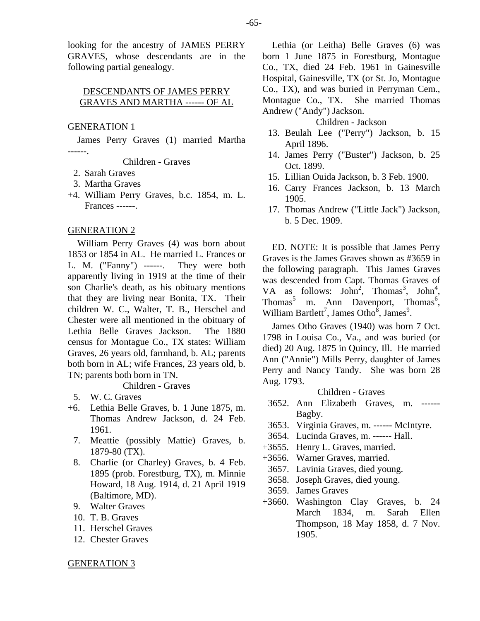looking for the ancestry of JAMES PERRY GRAVES, whose descendants are in the following partial genealogy.

# DESCENDANTS OF JAMES PERRY GRAVES AND MARTHA ------ OF AL

## GENERATION 1

James Perry Graves (1) married Martha ------.

Children - Graves

- 2. Sarah Graves
- 3. Martha Graves
- +4. William Perry Graves, b.c. 1854, m. L. Frances ------.

#### GENERATION 2

William Perry Graves (4) was born about 1853 or 1854 in AL. He married L. Frances or L. M. ("Fanny") ------. They were both apparently living in 1919 at the time of their son Charlie's death, as his obituary mentions that they are living near Bonita, TX. Their children W. C., Walter, T. B., Herschel and Chester were all mentioned in the obituary of Lethia Belle Graves Jackson. The 1880 census for Montague Co., TX states: William Graves, 26 years old, farmhand, b. AL; parents both born in AL; wife Frances, 23 years old, b. TN; parents both born in TN.

Children - Graves

- 5. W. C. Graves
- +6. Lethia Belle Graves, b. 1 June 1875, m. Thomas Andrew Jackson, d. 24 Feb. 1961.
	- 7. Meattie (possibly Mattie) Graves, b. 1879-80 (TX).
	- 8. Charlie (or Charley) Graves, b. 4 Feb. 1895 (prob. Forestburg, TX), m. Minnie Howard, 18 Aug. 1914, d. 21 April 1919 (Baltimore, MD).
	- 9. Walter Graves
	- 10. T. B. Graves
	- 11. Herschel Graves
	- 12. Chester Graves

Lethia (or Leitha) Belle Graves (6) was born 1 June 1875 in Forestburg, Montague Co., TX, died 24 Feb. 1961 in Gainesville Hospital, Gainesville, TX (or St. Jo, Montague Co., TX), and was buried in Perryman Cem., Montague Co., TX. She married Thomas Andrew ("Andy") Jackson.

#### Children - Jackson

- 13. Beulah Lee ("Perry") Jackson, b. 15 April 1896.
- 14. James Perry ("Buster") Jackson, b. 25 Oct. 1899.
- 15. Lillian Ouida Jackson, b. 3 Feb. 1900.
- 16. Carry Frances Jackson, b. 13 March 1905.
- 17. Thomas Andrew ("Little Jack") Jackson, b. 5 Dec. 1909.

ED. NOTE: It is possible that James Perry Graves is the James Graves shown as #3659 in the following paragraph. This James Graves was descended from Capt. Thomas Graves of VA as follows:  $John^2$ , Thomas<sup>3</sup>, John<sup>4</sup>, Thomas<sup>5</sup> m. Ann Davenport, Thomas<sup>6</sup>, William Bartlett<sup>7</sup>, James Otho<sup>8</sup>, James<sup>9</sup>.

James Otho Graves (1940) was born 7 Oct. 1798 in Louisa Co., Va., and was buried (or died) 20 Aug. 1875 in Quincy, Ill. He married Ann ("Annie") Mills Perry, daughter of James Perry and Nancy Tandy. She was born 28 Aug. 1793.

## Children - Graves

- 3652. Ann Elizabeth Graves, m. ------ Bagby.
- 3653. Virginia Graves, m. ------ McIntyre.
- 3654. Lucinda Graves, m. ------ Hall.
- +3655. Henry L. Graves, married.
- +3656. Warner Graves, married.
- 3657. Lavinia Graves, died young.
- 3658. Joseph Graves, died young.
- 3659. James Graves
- +3660. Washington Clay Graves, b. 24 March 1834, m. Sarah Ellen Thompson, 18 May 1858, d. 7 Nov. 1905.

## GENERATION 3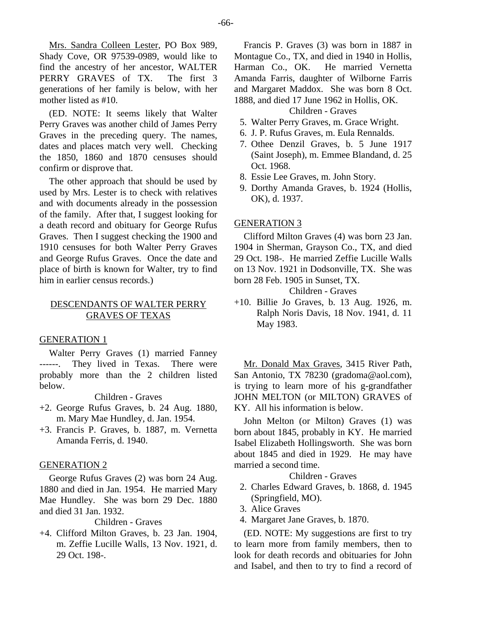Mrs. Sandra Colleen Lester, PO Box 989, Shady Cove, OR 97539-0989, would like to find the ancestry of her ancestor, WALTER PERRY GRAVES of TX. The first 3 generations of her family is below, with her mother listed as #10.

(ED. NOTE: It seems likely that Walter Perry Graves was another child of James Perry Graves in the preceding query. The names, dates and places match very well. Checking the 1850, 1860 and 1870 censuses should confirm or disprove that.

The other approach that should be used by used by Mrs. Lester is to check with relatives and with documents already in the possession of the family. After that, I suggest looking for a death record and obituary for George Rufus Graves. Then I suggest checking the 1900 and 1910 censuses for both Walter Perry Graves and George Rufus Graves. Once the date and place of birth is known for Walter, try to find him in earlier census records.)

# DESCENDANTS OF WALTER PERRY GRAVES OF TEXAS

## GENERATION 1

Walter Perry Graves (1) married Fanney ------. They lived in Texas. There were probably more than the 2 children listed below.

Children - Graves

- +2. George Rufus Graves, b. 24 Aug. 1880, m. Mary Mae Hundley, d. Jan. 1954.
- +3. Francis P. Graves, b. 1887, m. Vernetta Amanda Ferris, d. 1940.

## GENERATION 2

George Rufus Graves (2) was born 24 Aug. 1880 and died in Jan. 1954. He married Mary Mae Hundley. She was born 29 Dec. 1880 and died 31 Jan. 1932.

Children - Graves

+4. Clifford Milton Graves, b. 23 Jan. 1904, m. Zeffie Lucille Walls, 13 Nov. 1921, d. 29 Oct. 198-.

Francis P. Graves (3) was born in 1887 in Montague Co., TX, and died in 1940 in Hollis,<br>Harman Co., OK. He married Vernetta He married Vernetta Amanda Farris, daughter of Wilborne Farris and Margaret Maddox. She was born 8 Oct. 1888, and died 17 June 1962 in Hollis, OK.

#### Children - Graves

- 5. Walter Perry Graves, m. Grace Wright.
- 6. J. P. Rufus Graves, m. Eula Rennalds.
- 7. Othee Denzil Graves, b. 5 June 1917 (Saint Joseph), m. Emmee Blandand, d. 25 Oct. 1968.
- 8. Essie Lee Graves, m. John Story.
- 9. Dorthy Amanda Graves, b. 1924 (Hollis, OK), d. 1937.

#### GENERATION 3

Clifford Milton Graves (4) was born 23 Jan. 1904 in Sherman, Grayson Co., TX, and died 29 Oct. 198-. He married Zeffie Lucille Walls on 13 Nov. 1921 in Dodsonville, TX. She was born 28 Feb. 1905 in Sunset, TX.

Children - Graves

+10. Billie Jo Graves, b. 13 Aug. 1926, m. Ralph Noris Davis, 18 Nov. 1941, d. 11 May 1983.

Mr. Donald Max Graves, 3415 River Path, San Antonio, TX 78230 (gradoma@aol.com), is trying to learn more of his g-grandfather JOHN MELTON (or MILTON) GRAVES of KY. All his information is below.

John Melton (or Milton) Graves (1) was born about 1845, probably in KY. He married Isabel Elizabeth Hollingsworth. She was born about 1845 and died in 1929. He may have married a second time.

Children - Graves

- 2. Charles Edward Graves, b. 1868, d. 1945 (Springfield, MO).
- 3. Alice Graves
- 4. Margaret Jane Graves, b. 1870.

(ED. NOTE: My suggestions are first to try to learn more from family members, then to look for death records and obituaries for John and Isabel, and then to try to find a record of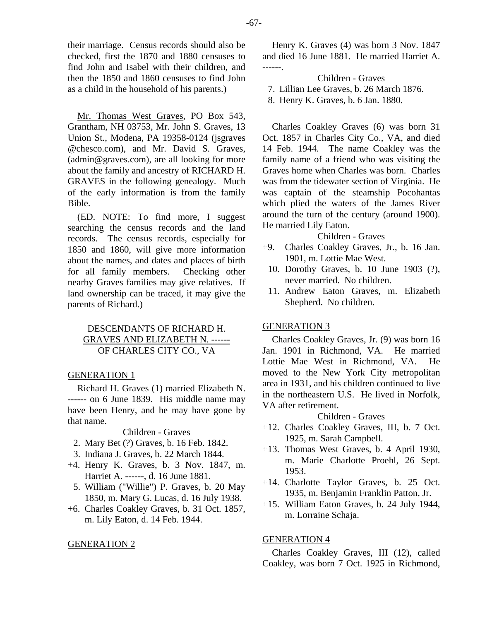their marriage. Census records should also be checked, first the 1870 and 1880 censuses to find John and Isabel with their children, and then the 1850 and 1860 censuses to find John as a child in the household of his parents.)

Mr. Thomas West Graves, PO Box 543, Grantham, NH 03753, Mr. John S. Graves, 13 Union St., Modena, PA 19358-0124 (jsgraves @chesco.com), and Mr. David S. Graves, (admin@graves.com), are all looking for more about the family and ancestry of RICHARD H. GRAVES in the following genealogy. Much of the early information is from the family Bible.

(ED. NOTE: To find more, I suggest searching the census records and the land records. The census records, especially for 1850 and 1860, will give more information about the names, and dates and places of birth for all family members. Checking other nearby Graves families may give relatives. If land ownership can be traced, it may give the parents of Richard.)

# DESCENDANTS OF RICHARD H. GRAVES AND ELIZABETH N. ------ OF CHARLES CITY CO., VA

# GENERATION 1

Richard H. Graves (1) married Elizabeth N. ------ on 6 June 1839. His middle name may have been Henry, and he may have gone by that name.

Children - Graves

- 2. Mary Bet (?) Graves, b. 16 Feb. 1842.
- 3. Indiana J. Graves, b. 22 March 1844.
- +4. Henry K. Graves, b. 3 Nov. 1847, m. Harriet A. ------, d. 16 June 1881.
- 5. William ("Willie") P. Graves, b. 20 May 1850, m. Mary G. Lucas, d. 16 July 1938.
- +6. Charles Coakley Graves, b. 31 Oct. 1857, m. Lily Eaton, d. 14 Feb. 1944.

## GENERATION 2

Henry K. Graves (4) was born 3 Nov. 1847 and died 16 June 1881. He married Harriet A. ------.

Children - Graves 7. Lillian Lee Graves, b. 26 March 1876. 8. Henry K. Graves, b. 6 Jan. 1880.

Charles Coakley Graves (6) was born 31 Oct. 1857 in Charles City Co., VA, and died 14 Feb. 1944. The name Coakley was the family name of a friend who was visiting the Graves home when Charles was born. Charles was from the tidewater section of Virginia. He was captain of the steamship Pocohantas which plied the waters of the James River around the turn of the century (around 1900). He married Lily Eaton.

Children - Graves

- +9. Charles Coakley Graves, Jr., b. 16 Jan. 1901, m. Lottie Mae West.
- 10. Dorothy Graves, b. 10 June 1903 (?), never married. No children.
- 11. Andrew Eaton Graves, m. Elizabeth Shepherd. No children.

## GENERATION 3

Charles Coakley Graves, Jr. (9) was born 16 Jan. 1901 in Richmond, VA. He married Lottie Mae West in Richmond, VA. He moved to the New York City metropolitan area in 1931, and his children continued to live in the northeastern U.S. He lived in Norfolk, VA after retirement.

Children - Graves

- +12. Charles Coakley Graves, III, b. 7 Oct. 1925, m. Sarah Campbell.
- +13. Thomas West Graves, b. 4 April 1930, m. Marie Charlotte Proehl, 26 Sept. 1953.
- +14. Charlotte Taylor Graves, b. 25 Oct. 1935, m. Benjamin Franklin Patton, Jr.
- +15. William Eaton Graves, b. 24 July 1944, m. Lorraine Schaja.

# GENERATION 4

Charles Coakley Graves, III (12), called Coakley, was born 7 Oct. 1925 in Richmond,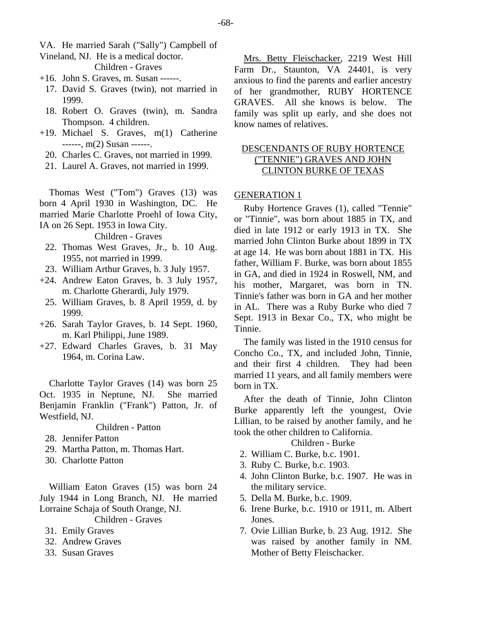- VA. He married Sarah ("Sally") Campbell of
- Vineland, NJ. He is a medical doctor.

Children - Graves

- +16. John S. Graves, m. Susan ------.
	- 17. David S. Graves (twin), not married in 1999.
	- 18. Robert O. Graves (twin), m. Sandra Thompson. 4 children.
- +19. Michael S. Graves, m(1) Catherine ------, m(2) Susan ------.
	- 20. Charles C. Graves, not married in 1999.
	- 21. Laurel A. Graves, not married in 1999.

Thomas West ("Tom") Graves (13) was born 4 April 1930 in Washington, DC. He married Marie Charlotte Proehl of Iowa City, IA on 26 Sept. 1953 in Iowa City.

Children - Graves

- 22. Thomas West Graves, Jr., b. 10 Aug. 1955, not married in 1999.
- 23. William Arthur Graves, b. 3 July 1957.
- +24. Andrew Eaton Graves, b. 3 July 1957, m. Charlotte Gherardi, July 1979.
	- 25. William Graves, b. 8 April 1959, d. by 1999.
- +26. Sarah Taylor Graves, b. 14 Sept. 1960, m. Karl Philippi, June 1989.
- +27. Edward Charles Graves, b. 31 May 1964, m. Corina Law.

Charlotte Taylor Graves (14) was born 25 Oct. 1935 in Neptune, NJ. She married Benjamin Franklin ("Frank") Patton, Jr. of Westfield, NJ.

# Children - Patton

- 28. Jennifer Patton
- 29. Martha Patton, m. Thomas Hart.
- 30. Charlotte Patton

William Eaton Graves (15) was born 24 July 1944 in Long Branch, NJ. He married Lorraine Schaja of South Orange, NJ.

Children - Graves

- 31. Emily Graves
- 32. Andrew Graves
- 33. Susan Graves

Mrs. Betty Fleischacker, 2219 West Hill Farm Dr., Staunton, VA 24401, is very anxious to find the parents and earlier ancestry of her grandmother, RUBY HORTENCE GRAVES. All she knows is below. The family was split up early, and she does not know names of relatives.

# DESCENDANTS OF RUBY HORTENCE ("TENNIE") GRAVES AND JOHN CLINTON BURKE OF TEXAS

# GENERATION 1

Ruby Hortence Graves (1), called "Tennie" or "Tinnie", was born about 1885 in TX, and died in late 1912 or early 1913 in TX. She married John Clinton Burke about 1899 in TX at age 14. He was born about 1881 in TX. His father, William F. Burke, was born about 1855 in GA, and died in 1924 in Roswell, NM, and his mother, Margaret, was born in TN. Tinnie's father was born in GA and her mother in AL. There was a Ruby Burke who died 7 Sept. 1913 in Bexar Co., TX, who might be Tinnie.

The family was listed in the 1910 census for Concho Co., TX, and included John, Tinnie, and their first 4 children. They had been married 11 years, and all family members were born in TX.

After the death of Tinnie, John Clinton Burke apparently left the youngest, Ovie Lillian, to be raised by another family, and he took the other children to California.

## Children - Burke

- 2. William C. Burke, b.c. 1901.
- 3. Ruby C. Burke, b.c. 1903.
- 4. John Clinton Burke, b.c. 1907. He was in the military service.
- 5. Della M. Burke, b.c. 1909.
- 6. Irene Burke, b.c. 1910 or 1911, m. Albert Jones.
- 7. Ovie Lillian Burke, b. 23 Aug. 1912. She was raised by another family in NM. Mother of Betty Fleischacker.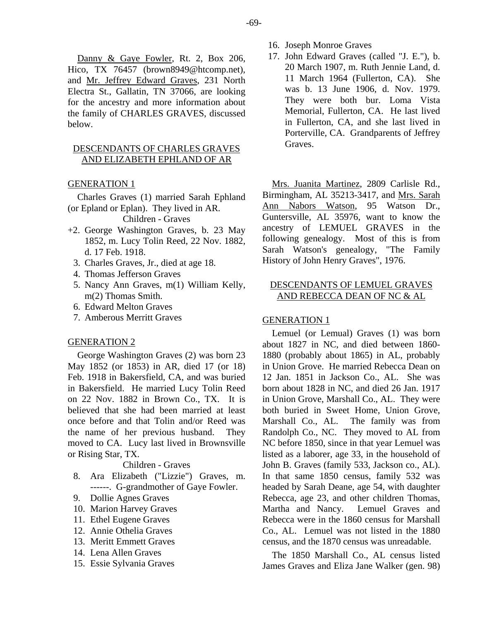Danny & Gaye Fowler, Rt. 2, Box 206, Hico, TX 76457 (brown8949@htcomp.net), and Mr. Jeffrey Edward Graves, 231 North Electra St., Gallatin, TN 37066, are looking for the ancestry and more information about the family of CHARLES GRAVES, discussed below.

# DESCENDANTS OF CHARLES GRAVES AND ELIZABETH EPHLAND OF AR

## GENERATION 1

Charles Graves (1) married Sarah Ephland (or Epland or Eplan). They lived in AR.

Children - Graves

- +2. George Washington Graves, b. 23 May 1852, m. Lucy Tolin Reed, 22 Nov. 1882, d. 17 Feb. 1918.
	- 3. Charles Graves, Jr., died at age 18.
	- 4. Thomas Jefferson Graves
	- 5. Nancy Ann Graves, m(1) William Kelly, m(2) Thomas Smith.
	- 6. Edward Melton Graves
	- 7. Amberous Merritt Graves

## GENERATION 2

George Washington Graves (2) was born 23 May 1852 (or 1853) in AR, died 17 (or 18) Feb. 1918 in Bakersfield, CA, and was buried in Bakersfield. He married Lucy Tolin Reed on 22 Nov. 1882 in Brown Co., TX. It is believed that she had been married at least once before and that Tolin and/or Reed was the name of her previous husband. They moved to CA. Lucy last lived in Brownsville or Rising Star, TX.

## Children - Graves

- 8. Ara Elizabeth ("Lizzie") Graves, m. ------. G-grandmother of Gaye Fowler.
- 9. Dollie Agnes Graves
- 10. Marion Harvey Graves
- 11. Ethel Eugene Graves
- 12. Annie Othelia Graves
- 13. Meritt Emmett Graves
- 14. Lena Allen Graves
- 15. Essie Sylvania Graves
- 16. Joseph Monroe Graves
- 17. John Edward Graves (called "J. E."), b. 20 March 1907, m. Ruth Jennie Land, d. 11 March 1964 (Fullerton, CA). She was b. 13 June 1906, d. Nov. 1979. They were both bur. Loma Vista Memorial, Fullerton, CA. He last lived in Fullerton, CA, and she last lived in Porterville, CA. Grandparents of Jeffrey Graves.

Mrs. Juanita Martinez, 2809 Carlisle Rd., Birmingham, AL 35213-3417, and Mrs. Sarah Ann Nabors Watson, 95 Watson Dr., Guntersville, AL 35976, want to know the ancestry of LEMUEL GRAVES in the following genealogy. Most of this is from Sarah Watson's genealogy, "The Family History of John Henry Graves", 1976.

# DESCENDANTS OF LEMUEL GRAVES AND REBECCA DEAN OF NC & AL

## GENERATION 1

Lemuel (or Lemual) Graves (1) was born about 1827 in NC, and died between 1860- 1880 (probably about 1865) in AL, probably in Union Grove. He married Rebecca Dean on 12 Jan. 1851 in Jackson Co., AL. She was born about 1828 in NC, and died 26 Jan. 1917 in Union Grove, Marshall Co., AL. They were both buried in Sweet Home, Union Grove, Marshall Co., AL. The family was from Randolph Co., NC. They moved to AL from NC before 1850, since in that year Lemuel was listed as a laborer, age 33, in the household of John B. Graves (family 533, Jackson co., AL). In that same 1850 census, family 532 was headed by Sarah Deane, age 54, with daughter Rebecca, age 23, and other children Thomas, Martha and Nancy. Lemuel Graves and Rebecca were in the 1860 census for Marshall Co., AL. Lemuel was not listed in the 1880 census, and the 1870 census was unreadable.

The 1850 Marshall Co., AL census listed James Graves and Eliza Jane Walker (gen. 98)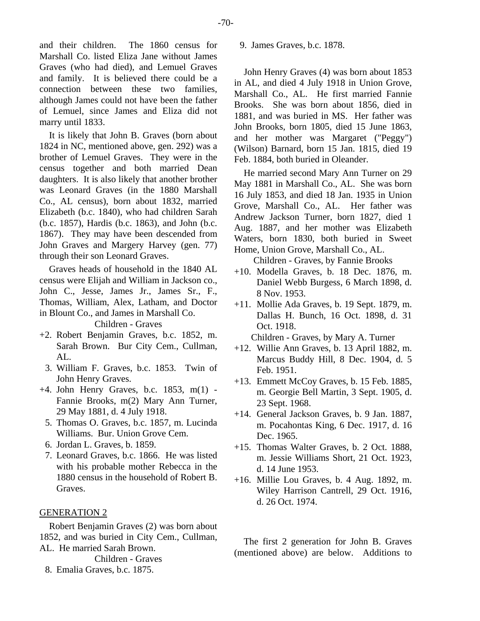and their children. The 1860 census for Marshall Co. listed Eliza Jane without James Graves (who had died), and Lemuel Graves and family. It is believed there could be a connection between these two families, although James could not have been the father of Lemuel, since James and Eliza did not marry until 1833.

It is likely that John B. Graves (born about 1824 in NC, mentioned above, gen. 292) was a brother of Lemuel Graves. They were in the census together and both married Dean daughters. It is also likely that another brother was Leonard Graves (in the 1880 Marshall Co., AL census), born about 1832, married Elizabeth (b.c. 1840), who had children Sarah (b.c. 1857), Hardis (b.c. 1863), and John (b.c. 1867). They may have been descended from John Graves and Margery Harvey (gen. 77) through their son Leonard Graves.

Graves heads of household in the 1840 AL census were Elijah and William in Jackson co., John C., Jesse, James Jr., James Sr., F., Thomas, William, Alex, Latham, and Doctor in Blount Co., and James in Marshall Co.

Children - Graves

- +2. Robert Benjamin Graves, b.c. 1852, m. Sarah Brown. Bur City Cem., Cullman, AL.
	- 3. William F. Graves, b.c. 1853. Twin of John Henry Graves.
- +4. John Henry Graves, b.c. 1853, m(1) Fannie Brooks, m(2) Mary Ann Turner, 29 May 1881, d. 4 July 1918.
	- 5. Thomas O. Graves, b.c. 1857, m. Lucinda Williams. Bur. Union Grove Cem.
	- 6. Jordan L. Graves, b. 1859.
	- 7. Leonard Graves, b.c. 1866. He was listed with his probable mother Rebecca in the 1880 census in the household of Robert B. Graves.

# GENERATION 2

Robert Benjamin Graves (2) was born about 1852, and was buried in City Cem., Cullman, AL. He married Sarah Brown.

Children - Graves

8. Emalia Graves, b.c. 1875.

9. James Graves, b.c. 1878.

John Henry Graves (4) was born about 1853 in AL, and died 4 July 1918 in Union Grove, Marshall Co., AL. He first married Fannie Brooks. She was born about 1856, died in 1881, and was buried in MS. Her father was John Brooks, born 1805, died 15 June 1863, and her mother was Margaret ("Peggy") (Wilson) Barnard, born 15 Jan. 1815, died 19 Feb. 1884, both buried in Oleander.

He married second Mary Ann Turner on 29 May 1881 in Marshall Co., AL. She was born 16 July 1853, and died 18 Jan. 1935 in Union Grove, Marshall Co., AL. Her father was Andrew Jackson Turner, born 1827, died 1 Aug. 1887, and her mother was Elizabeth Waters, born 1830, both buried in Sweet Home, Union Grove, Marshall Co., AL.

Children - Graves, by Fannie Brooks

- +10. Modella Graves, b. 18 Dec. 1876, m. Daniel Webb Burgess, 6 March 1898, d. 8 Nov. 1953.
- +11. Mollie Ada Graves, b. 19 Sept. 1879, m. Dallas H. Bunch, 16 Oct. 1898, d. 31 Oct. 1918.

Children - Graves, by Mary A. Turner

- +12. Willie Ann Graves, b. 13 April 1882, m. Marcus Buddy Hill, 8 Dec. 1904, d. 5 Feb. 1951.
- +13. Emmett McCoy Graves, b. 15 Feb. 1885, m. Georgie Bell Martin, 3 Sept. 1905, d. 23 Sept. 1968.
- +14. General Jackson Graves, b. 9 Jan. 1887, m. Pocahontas King, 6 Dec. 1917, d. 16 Dec. 1965.
- +15. Thomas Walter Graves, b. 2 Oct. 1888, m. Jessie Williams Short, 21 Oct. 1923, d. 14 June 1953.
- +16. Millie Lou Graves, b. 4 Aug. 1892, m. Wiley Harrison Cantrell, 29 Oct. 1916, d. 26 Oct. 1974.

The first 2 generation for John B. Graves (mentioned above) are below. Additions to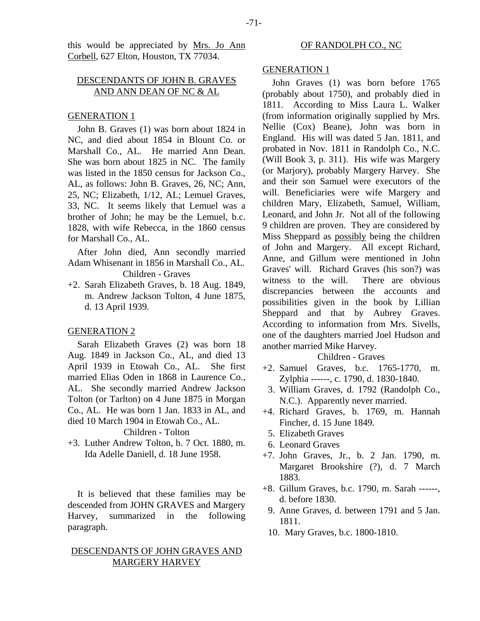this would be appreciated by Mrs. Jo Ann Corbell, 627 Elton, Houston, TX 77034.

# DESCENDANTS OF JOHN B. GRAVES AND ANN DEAN OF NC & AL

## GENERATION 1

John B. Graves (1) was born about 1824 in NC, and died about 1854 in Blount Co. or Marshall Co., AL. He married Ann Dean. She was born about 1825 in NC. The family was listed in the 1850 census for Jackson Co., AL, as follows: John B. Graves, 26, NC; Ann, 25, NC; Elizabeth, 1/12, AL; Lemuel Graves, 33, NC. It seems likely that Lemuel was a brother of John; he may be the Lemuel, b.c. 1828, with wife Rebecca, in the 1860 census for Marshall Co., AL.

After John died, Ann secondly married Adam Whisenant in 1856 in Marshall Co., AL. Children - Graves

+2. Sarah Elizabeth Graves, b. 18 Aug. 1849, m. Andrew Jackson Tolton, 4 June 1875, d. 13 April 1939.

## GENERATION 2

Sarah Elizabeth Graves (2) was born 18 Aug. 1849 in Jackson Co., AL, and died 13 April 1939 in Etowah Co., AL. She first married Elias Oden in 1868 in Laurence Co., AL. She secondly married Andrew Jackson Tolton (or Tarlton) on 4 June 1875 in Morgan Co., AL. He was born 1 Jan. 1833 in AL, and died 10 March 1904 in Etowah Co., AL.

## Children - Tolton

+3. Luther Andrew Tolton, b. 7 Oct. 1880, m. Ida Adelle Daniell, d. 18 June 1958.

It is believed that these families may be descended from JOHN GRAVES and Margery Harvey, summarized in the following paragraph.

# DESCENDANTS OF JOHN GRAVES AND MARGERY HARVEY

#### OF RANDOLPH CO., NC

## GENERATION 1

John Graves (1) was born before 1765 (probably about 1750), and probably died in 1811. According to Miss Laura L. Walker (from information originally supplied by Mrs. Nellie (Cox) Beane), John was born in England. His will was dated 5 Jan. 1811, and probated in Nov. 1811 in Randolph Co., N.C. (Will Book 3, p. 311). His wife was Margery (or Marjory), probably Margery Harvey. She and their son Samuel were executors of the will. Beneficiaries were wife Margery and children Mary, Elizabeth, Samuel, William, Leonard, and John Jr. Not all of the following 9 children are proven. They are considered by Miss Sheppard as possibly being the children of John and Margery. All except Richard, Anne, and Gillum were mentioned in John Graves' will. Richard Graves (his son?) was witness to the will. There are obvious discrepancies between the accounts and possibilities given in the book by Lillian Sheppard and that by Aubrey Graves. According to information from Mrs. Sivells, one of the daughters married Joel Hudson and another married Mike Harvey.

Children - Graves

- +2. Samuel Graves, b.c. 1765-1770, m. Zylphia ------, c. 1790, d. 1830-1840.
- 3. William Graves, d. 1792 (Randolph Co., N.C.). Apparently never married.
- +4. Richard Graves, b. 1769, m. Hannah Fincher, d. 15 June 1849.
	- 5. Elizabeth Graves
- 6. Leonard Graves
- +7. John Graves, Jr., b. 2 Jan. 1790, m. Margaret Brookshire (?), d. 7 March 1883.
- +8. Gillum Graves, b.c. 1790, m. Sarah ------, d. before 1830.
	- 9. Anne Graves, d. between 1791 and 5 Jan. 1811.
- 10. Mary Graves, b.c. 1800-1810.